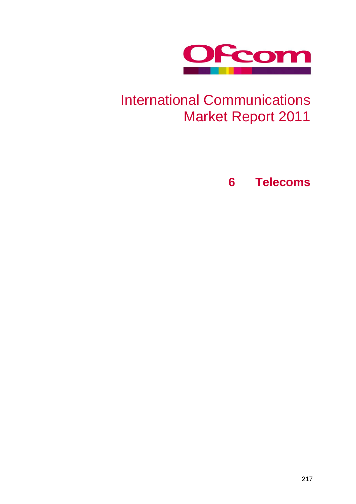

# International Communications Market Report 2011

**6 Telecoms**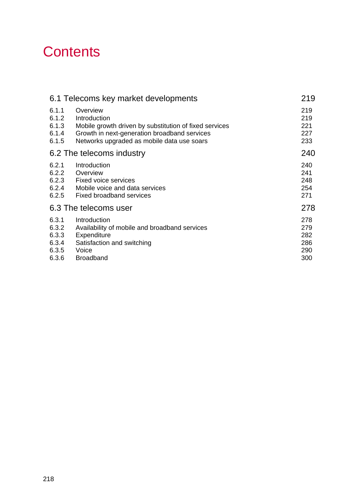# **Contents**

|       | 6.1 Telecoms key market developments                   | 219 |
|-------|--------------------------------------------------------|-----|
| 6.1.1 | Overview                                               | 219 |
| 6.1.2 | Introduction                                           | 219 |
| 6.1.3 | Mobile growth driven by substitution of fixed services | 221 |
| 6.1.4 | Growth in next-generation broadband services           | 227 |
| 6.1.5 | Networks upgraded as mobile data use soars             | 233 |
|       | 6.2 The telecoms industry                              | 240 |
| 6.2.1 | Introduction                                           | 240 |
| 6.2.2 | Overview                                               | 241 |
| 6.2.3 | <b>Fixed voice services</b>                            | 248 |
| 6.2.4 | Mobile voice and data services                         | 254 |
| 6.2.5 | <b>Fixed broadband services</b>                        | 271 |
|       | 6.3 The telecoms user                                  | 278 |
| 6.3.1 | Introduction                                           | 278 |
| 6.3.2 | Availability of mobile and broadband services          | 279 |
| 6.3.3 | Expenditure                                            | 282 |
| 6.3.4 | Satisfaction and switching                             | 286 |
| 6.3.5 | Voice                                                  | 290 |
| 6.3.6 | <b>Broadband</b>                                       | 300 |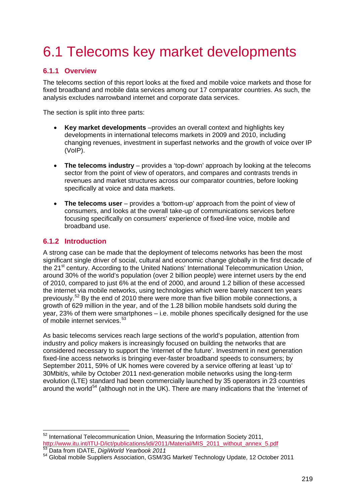# <span id="page-2-0"></span>6.1 Telecoms key market developments

# <span id="page-2-1"></span>**6.1.1 Overview**

The telecoms section of this report looks at the fixed and mobile voice markets and those for fixed broadband and mobile data services among our 17 comparator countries. As such, the analysis excludes narrowband internet and corporate data services.

The section is split into three parts:

- **Key market developments** –provides an overall context and highlights key developments in international telecoms markets in 2009 and 2010, including changing revenues, investment in superfast networks and the growth of voice over IP (VoIP).
- **The telecoms industry** provides a 'top-down' approach by looking at the telecoms sector from the point of view of operators, and compares and contrasts trends in revenues and market structures across our comparator countries, before looking specifically at voice and data markets.
- **The telecoms user** provides a 'bottom-up' approach from the point of view of consumers, and looks at the overall take-up of communications services before focusing specifically on consumers' experience of fixed-line voice, mobile and broadband use.

# <span id="page-2-2"></span>**6.1.2 Introduction**

A strong case can be made that the deployment of telecoms networks has been the most significant single driver of social, cultural and economic change globally in the first decade of the 21<sup>st</sup> century. According to the United Nations' International Telecommunication Union, around 30% of the world's population (over 2 billion people) were internet users by the end of 2010, compared to just 6% at the end of 2000, and around 1.2 billion of these accessed the internet via mobile networks, using technologies which were barely nascent ten years previously.[52](#page-2-3) By the end of 2010 there were more than five billion mobile connections, a growth of 629 million in the year, and of the 1.28 billion mobile handsets sold during the year, 23% of them were smartphones – i.e. mobile phones specifically designed for the use of mobile internet services.<sup>[53](#page-2-4)</sup>

As basic telecoms services reach large sections of the world's population, attention from industry and policy makers is increasingly focused on building the networks that are considered necessary to support the 'internet of the future'. Investment in next generation fixed-line access networks is bringing ever-faster broadband speeds to consumers; by September 2011, 59% of UK homes were covered by a service offering at least 'up to' 30Mbit/s, while by October 2011 next-generation mobile networks using the long-term evolution (LTE) standard had been commercially launched by 35 operators in 23 countries around the world<sup>[54](#page-2-5)</sup> (although not in the UK). There are many indications that the 'internet of

<span id="page-2-3"></span> $52$  International Telecommunication Union, Measuring the Information Society 2011,<br>http://www.itu.int/ITU-D/ict/publications/idi/2011/Material/MIS 2011 without annex 5.pdf

<span id="page-2-5"></span>

<span id="page-2-4"></span><sup>53</sup> Data from IDATE, *DigiWorld Yearbook 2011*<br>54 Global mobile Suppliers Association, GSM/3G Market/ Technology Update, 12 October 2011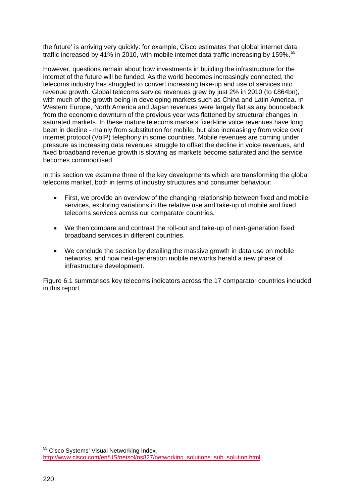the future' is arriving very quickly: for example, Cisco estimates that global internet data traffic increased by 41% in 2010, with mobile internet data traffic increasing by 159%.<sup>[55](#page-3-0)</sup>

However, questions remain about how investments in building the infrastructure for the internet of the future will be funded. As the world becomes increasingly connected, the telecoms industry has struggled to convert increasing take-up and use of services into revenue growth. Global telecoms service revenues grew by just 2% in 2010 (to £864bn), with much of the growth being in developing markets such as China and Latin America. In Western Europe, North America and Japan revenues were largely flat as any bounceback from the economic downturn of the previous year was flattened by structural changes in saturated markets. In these mature telecoms markets fixed-line voice revenues have long been in decline - mainly from substitution for mobile, but also increasingly from voice over internet protocol (VoIP) telephony in some countries. Mobile revenues are coming under pressure as increasing data revenues struggle to offset the decline in voice revenues, and fixed broadband revenue growth is slowing as markets become saturated and the service becomes commoditised.

In this section we examine three of the key developments which are transforming the global telecoms market, both in terms of industry structures and consumer behaviour:

- First, we provide an overview of the changing relationship between fixed and mobile services, exploring variations in the relative use and take-up of mobile and fixed telecoms services across our comparator countries.
- We then compare and contrast the roll-out and take-up of next-generation fixed broadband services in different countries.
- We conclude the section by detailing the massive growth in data use on mobile networks, and how next-generation mobile networks herald a new phase of infrastructure development.

[Figure 6.1](#page-4-1) summarises key telecoms indicators across the 17 comparator countries included in this report.

<span id="page-3-0"></span> <sup>55</sup> Cisco Systems' Visual Networking Index*,*  [http://www.cisco.com/en/US/netsol/ns827/networking\\_solutions\\_sub\\_solution.html](http://www.cisco.com/en/US/netsol/ns827/networking_solutions_sub_solution.html)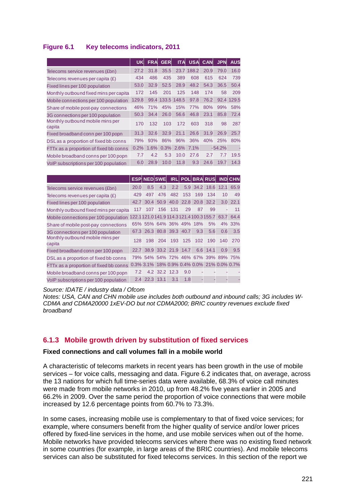# <span id="page-4-1"></span>**Figure 6.1 Key telecoms indicators, 2011**

|                                            | UK    | <b>FRA</b> | <b>GER</b> | <b>ITA</b>  | <b>USA</b> | <b>CAN</b> | <b>JPN</b> | <b>AUS</b> |
|--------------------------------------------|-------|------------|------------|-------------|------------|------------|------------|------------|
| Telecoms service revenues (£bn)            | 27.2  | 31.8       | 35.5       |             | 23.7 188.2 | 20.9       | 79.0       | 16.0       |
| Telecoms revenues per capita $(E)$         | 434   | 486        | 435        | 389         | 608        | 615        | 624        | 739        |
| Fixed lines per 100 population             | 53.0  | 32.9       | 52.5       | 28.9        | 48.2       | 54.3       | 36.5       | 50.4       |
| Monthly outbound fixed mins per capita     | 172   | 145        | 201        | 125         | 148        | 174        | 58         | 209        |
| Mobile connections per 100 population      | 129.8 | 99.4       |            | 133.5 148.5 | 97.8       | 76.2       | 92.4       | 129.5      |
| Share of mobile post-pay connections       |       | 71%        | 45%        | 15%         | 77%        | 80%        | 99%        | 58%        |
| 3G connections per 100 population          |       | 34.4       | 26.0       | 56.6        | 46.8       | 23.1       | 85.8       | 72.4       |
| Monthly outbound mobile mins per<br>capita | 170   | 132        | 103        | 172         | 603        | 318        | 98         | 287        |
| Fixed broadband conn per 100 popn          | 31.3  | 32.6       | 32.9       | 21.1        | 26.6       | 31.9       | 26.9       | 25.7       |
| DSLas a proportion of fixed bb conns       | 79%   | 93%        | 86%        | 96%         | 36%        | 40%        | 25%        | 80%        |
| FTTx as a proportion of fixed bb conns     |       | 1.6%       | 0.3%       | 2.6%        | 7.1%       |            | $-54.2%$   |            |
| Mobile broadband conns per 100 popn        | 7.7   | 4.2        | 5.3        | 10.0        | 27.6       | 2.7        | 7.7        | 19.5       |
| VoIP subscriptions per 100 population      |       | 28.9       | 10.0       | 11.8        | 9.3        | 24.6       | 19.7       | 14.3       |

|                                            |      | <b>ESPINEDISWEL</b> |               |     |                          |     | IRL POL BRA RUS IND CHN                    |      |            |
|--------------------------------------------|------|---------------------|---------------|-----|--------------------------|-----|--------------------------------------------|------|------------|
| Telecoms service revenues (£bn)            | 20.0 | 8.5                 | 4.3           | 2.2 |                          |     | 5.9 34.2 18.6 12.1                         |      | 65.9       |
| Telecoms revenues per capita $(E)$         | 429  | 497                 | 476           | 482 | 153                      | 169 | 134                                        | 10   | 49         |
| Fixed lines per 100 population             | 42.7 | 30.4                | 50.9          |     |                          |     | 40.0 22.8 20.8 32.2                        |      | $3.0$ 22.1 |
| Monthly outbound fixed mins per capita     | 117  | 107                 | 156           | 131 | 29                       | 87  | 99                                         |      | 11         |
| Mobile connections per 100 population      |      |                     |               |     |                          |     | 122.1121.0141.9114.3121.4100.3155.7        | 63.7 | 64.4       |
| Share of mobile post-pay connections       |      |                     |               |     | 65% 55% 64% 36% 49% 18%  |     | 5%                                         |      | 4% 33%     |
| 3G connections per 100 population          |      |                     |               |     | 67.3 26.3 80.8 39.3 40.7 | 9.3 | 5.6                                        | 0.6  | 3.5        |
| Monthly outbound mobile mins per<br>capita | 128  |                     | 198 204       |     | 193 125                  | 102 | 190                                        | 140  | 270        |
| Fixed broadband conn per 100 popn          |      |                     |               |     | 22.7 38.9 33.2 21.9 14.7 | 6.6 | 14.1                                       | 0.9  | 9.5        |
| DSLas a proportion of fixed bb conns       |      |                     |               |     |                          |     | 79% 54% 54% 72% 46% 67% 39% 89% 75%        |      |            |
| FTTx as a proportion of fixed bb conns     |      |                     |               |     |                          |     | 0.3% 3.1% 18% 0.9% 0.4% 0.0% 21% 0.0% 0.7% |      |            |
| Mobile broadband conns per 100 popn        | 7.2  |                     | 4.2 32.2 12.3 |     | 9.0                      |     |                                            |      |            |
| VoIP subscriptions per 100 population      | 2.4  | 22.3                | 13.1          | 3.1 | 1.8                      |     |                                            |      | ٠          |

#### *Source: IDATE / industry data / Ofcom*

*Notes: USA, CAN and CHN mobile use includes both outbound and inbound calls; 3G includes W-CDMA and CDMA20000 1xEV-DO but not CDMA2000; BRIC country revenues exclude fixed broadband*

# <span id="page-4-0"></span>**6.1.3 Mobile growth driven by substitution of fixed services**

#### **Fixed connections and call volumes fall in a mobile world**

A characteristic of telecoms markets in recent years has been growth in the use of mobile services – for voice calls, messaging and data. [Figure 6.2](#page-5-0) indicates that, on average, across the 13 nations for which full time-series data were available, 68.3% of voice call minutes were made from mobile networks in 2010, up from 48.2% five years earlier in 2005 and 66.2% in 2009. Over the same period the proportion of voice connections that were mobile increased by 12.6 percentage points from 60.7% to 73.3%.

In some cases, increasing mobile use is complementary to that of fixed voice services; for example, where consumers benefit from the higher quality of service and/or lower prices offered by fixed-line services in the home, and use mobile services when out of the home. Mobile networks have provided telecoms services where there was no existing fixed network in some countries (for example, in large areas of the BRIC countries). And mobile telecoms services can also be substituted for fixed telecoms services. In this section of the report we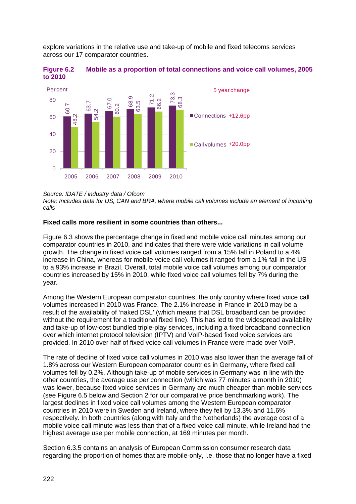explore variations in the relative use and take-up of mobile and fixed telecoms services across our 17 comparator countries.

<span id="page-5-0"></span>



*Source: IDATE / industry data / Ofcom*

*Note: Includes data for US, CAN and BRA, where mobile call volumes include an element of incoming calls*

#### **Fixed calls more resilient in some countries than others...**

[Figure 6.3](#page-6-0) shows the percentage change in fixed and mobile voice call minutes among our comparator countries in 2010, and indicates that there were wide variations in call volume growth. The change in fixed voice call volumes ranged from a 15% fall in Poland to a 4% increase in China, whereas for mobile voice call volumes it ranged from a 1% fall in the US to a 93% increase in Brazil. Overall, total mobile voice call volumes among our comparator countries increased by 15% in 2010, while fixed voice call volumes fell by 7% during the year.

Among the Western European comparator countries, the only country where fixed voice call volumes increased in 2010 was France. The 2.1% increase in France in 2010 may be a result of the availability of 'naked DSL' (which means that DSL broadband can be provided without the requirement for a traditional fixed line). This has led to the widespread availability and take-up of low-cost bundled triple-play services, including a fixed broadband connection over which internet protocol television (IPTV) and VoIP-based fixed voice services are provided. In 2010 over half of fixed voice call volumes in France were made over VoIP.

The rate of decline of fixed voice call volumes in 2010 was also lower than the average fall of 1.8% across our Western European comparator countries in Germany, where fixed call volumes fell by 0.2%. Although take-up of mobile services in Germany was in line with the other countries, the average use per connection (which was 77 minutes a month in 2010) was lower, because fixed voice services in Germany are much cheaper than mobile services (see [Figure 6.5](#page-8-0) below and Section 2 for our comparative price benchmarking work). The largest declines in fixed voice call volumes among the Western European comparator countries in 2010 were in Sweden and Ireland, where they fell by 13.3% and 11.6% respectively. In both countries (along with Italy and the Netherlands) the average cost of a mobile voice call minute was less than that of a fixed voice call minute, while Ireland had the highest average use per mobile connection, at 169 minutes per month. **Example 19**<br> **Example 19**<br> **Example 19**<br> **Example 19**<br> **Example 19**<br> **Example 19**<br> **Example 10.1**<br> **Example 10.1**<br> **Example 10.1**<br> **Example 10.1**<br> **Example 10.1**<br> **Example 10.1**<br> **Example 10.1**<br> **Example 10.1**<br> **Exampl** 

Section [6.3.5](#page-73-0) contains an analysis of European Commission consumer research data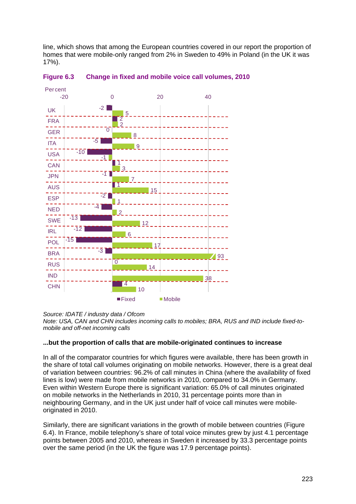line, which shows that among the European countries covered in our report the proportion of homes that were mobile-only ranged from 2% in Sweden to 49% in Poland (in the UK it was 17%).



<span id="page-6-0"></span>

*Source: IDATE / industry data / Ofcom*

*Note: USA, CAN and CHN includes incoming calls to mobiles; BRA, RUS and IND include fixed-tomobile and off-net incoming calls*

#### **...but the proportion of calls that are mobile-originated continues to increase**

In all of the comparator countries for which figures were available, there has been growth in the share of total call volumes originating on mobile networks. However, there is a great deal of variation between countries: 96.2% of call minutes in China (where the availability of fixed lines is low) were made from mobile networks in 2010, compared to 34.0% in Germany. Even within Western Europe there is significant variation: 65.0% of call minutes originated on mobile networks in the Netherlands in 2010, 31 percentage points more than in neighbouring Germany, and in the UK just under half of voice call minutes were mobileoriginated in 2010.

Similarly, there are significant variations in the growth of mobile between countries [\(Figure](#page-7-0)  [6.4\)](#page-7-0). In France, mobile telephony's share of total voice minutes grew by just 4.1 percentage points between 2005 and 2010, whereas in Sweden it increased by 33.3 percentage points over the same period (in the UK the figure was 17.9 percentage points).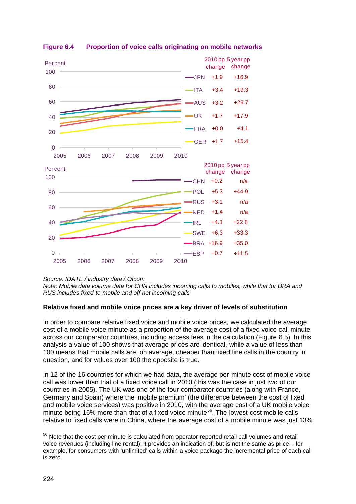

# <span id="page-7-0"></span>**Figure 6.4 Proportion of voice calls originating on mobile networks**

*Source: IDATE / industry data / Ofcom*

*Note: Mobile data volume data for CHN includes incoming calls to mobiles, while that for BRA and RUS includes fixed-to-mobile and off-net incoming calls*

# **Relative fixed and mobile voice prices are a key driver of levels of substitution**

In order to compare relative fixed voice and mobile voice prices, we calculated the average cost of a mobile voice minute as a proportion of the average cost of a fixed voice call minute across our comparator countries, including access fees in the calculation [\(Figure 6.5\)](#page-8-0). In this analysis a value of 100 shows that average prices are identical, while a value of less than 100 means that mobile calls are, on average, cheaper than fixed line calls in the country in question, and for values over 100 the opposite is true.

In 12 of the 16 countries for which we had data, the average per-minute cost of mobile voice call was lower than that of a fixed voice call in 2010 (this was the case in just two of our countries in 2005). The UK was one of the four comparator countries (along with France, Germany and Spain) where the 'mobile premium' (the difference between the cost of fixed and mobile voice services) was positive in 2010, with the average cost of a UK mobile voice minute being 16% more than that of a fixed voice minute<sup>[56](#page-7-1)</sup>. The lowest-cost mobile calls relative to fixed calls were in China, where the average cost of a mobile minute was just 13%

<span id="page-7-1"></span><sup>&</sup>lt;sup>56</sup> Note that the cost per minute is calculated from operator-reported retail call volumes and retail voice revenues (including line rental); it provides an indication of, but is not the same as price – for example, for consumers with 'unlimited' calls within a voice package the incremental price of each call is zero.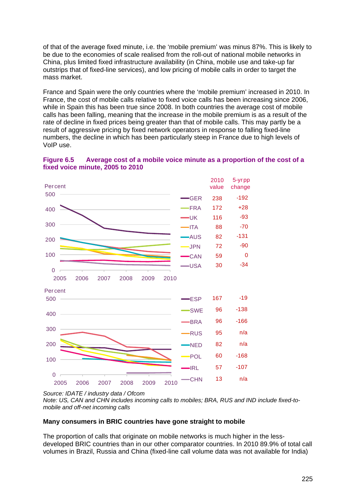of that of the average fixed minute, i.e. the 'mobile premium' was minus 87%. This is likely to be due to the economies of scale realised from the roll-out of national mobile networks in China, plus limited fixed infrastructure availability (in China, mobile use and take-up far outstrips that of fixed-line services), and low pricing of mobile calls in order to target the mass market.

France and Spain were the only countries where the 'mobile premium' increased in 2010. In France, the cost of mobile calls relative to fixed voice calls has been increasing since 2006, while in Spain this has been true since 2008. In both countries the average cost of mobile calls has been falling, meaning that the increase in the mobile premium is as a result of the rate of decline in fixed prices being greater than that of mobile calls. This may partly be a result of aggressive pricing by fixed network operators in response to falling fixed-line numbers, the decline in which has been particularly steep in France due to high levels of VoIP use.



<span id="page-8-0"></span>

#### **Many consumers in BRIC countries have gone straight to mobile**

The proportion of calls that originate on mobile networks is much higher in the lessdeveloped BRIC countries than in our other comparator countries. In 2010 89.9% of total call volumes in Brazil, Russia and China (fixed-line call volume data was not available for India)

*Source: IDATE / industry data / Ofcom*

*Note: US, CAN and CHN includes incoming calls to mobiles; BRA, RUS and IND include fixed-tomobile and off-net incoming calls*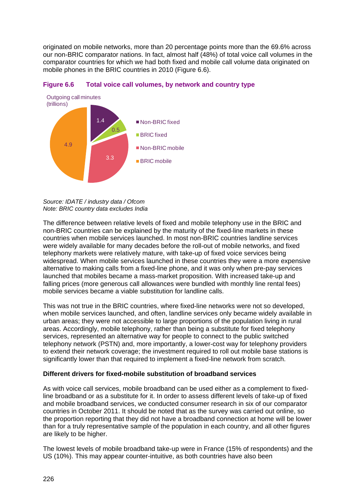originated on mobile networks, more than 20 percentage points more than the 69.6% across our non-BRIC comparator nations. In fact, almost half (48%) of total voice call volumes in the comparator countries for which we had both fixed and mobile call volume data originated on mobile phones in the BRIC countries in 2010 [\(Figure 6.6\)](#page-9-0).



#### <span id="page-9-0"></span>**Figure 6.6 Total voice call volumes, by network and country type**

*Source: IDATE / industry data / Ofcom Note: BRIC country data excludes India*

The difference between relative levels of fixed and mobile telephony use in the BRIC and non-BRIC countries can be explained by the maturity of the fixed-line markets in these countries when mobile services launched. In most non-BRIC countries landline services were widely available for many decades before the roll-out of mobile networks, and fixed telephony markets were relatively mature, with take-up of fixed voice services being widespread. When mobile services launched in these countries they were a more expensive alternative to making calls from a fixed-line phone, and it was only when pre-pay services launched that mobiles became a mass-market proposition. With increased take-up and falling prices (more generous call allowances were bundled with monthly line rental fees) mobile services became a viable substitution for landline calls.

This was not true in the BRIC countries, where fixed-line networks were not so developed, when mobile services launched, and often, landline services only became widely available in urban areas; they were not accessible to large proportions of the population living in rural areas. Accordingly, mobile telephony, rather than being a substitute for fixed telephony services, represented an alternative way for people to connect to the public switched telephony network (PSTN) and, more importantly, a lower-cost way for telephony providers to extend their network coverage; the investment required to roll out mobile base stations is significantly lower than that required to implement a fixed-line network from scratch.

#### **Different drivers for fixed-mobile substitution of broadband services**

As with voice call services, mobile broadband can be used either as a complement to fixedline broadband or as a substitute for it. In order to assess different levels of take-up of fixed and mobile broadband services, we conducted consumer research in six of our comparator countries in October 2011. It should be noted that as the survey was carried out online, so the proportion reporting that they did not have a broadband connection at home will be lower than for a truly representative sample of the population in each country, and all other figures are likely to be higher.

The lowest levels of mobile broadband take-up were in France (15% of respondents) and the US (10%). This may appear counter-intuitive, as both countries have also been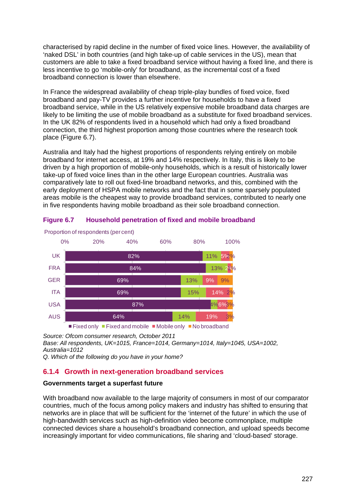characterised by rapid decline in the number of fixed voice lines. However, the availability of 'naked DSL' in both countries (and high take-up of cable services in the US), mean that customers are able to take a fixed broadband service without having a fixed line, and there is less incentive to go 'mobile-only' for broadband, as the incremental cost of a fixed broadband connection is lower than elsewhere.

In France the widespread availability of cheap triple-play bundles of fixed voice, fixed broadband and pay-TV provides a further incentive for households to have a fixed broadband service, while in the US relatively expensive mobile broadband data charges are likely to be limiting the use of mobile broadband as a substitute for fixed broadband services. In the UK 82% of respondents lived in a household which had only a fixed broadband connection, the third highest proportion among those countries where the research took place [\(Figure 6.7\)](#page-10-1).

Australia and Italy had the highest proportions of respondents relying entirely on mobile broadband for internet access, at 19% and 14% respectively. In Italy, this is likely to be driven by a high proportion of mobile-only households, which is a result of historically lower take-up of fixed voice lines than in the other large European countries. Australia was comparatively late to roll out fixed-line broadband networks, and this, combined with the early deployment of HSPA mobile networks and the fact that in some sparsely populated areas mobile is the cheapest way to provide broadband services, contributed to nearly one in five respondents having mobile broadband as their sole broadband connection.



### <span id="page-10-1"></span>**Figure 6.7 Household penetration of fixed and mobile broadband**

*Source: Ofcom consumer research, October 2011 Base: All respondents, UK=1015, France=1014, Germany=1014, Italy=1045, USA=1002, Australia=1012*

*Q. Which of the following do you have in your home?*

# <span id="page-10-0"></span>**6.1.4 Growth in next-generation broadband services**

#### **Governments target a superfast future**

With broadband now available to the large majority of consumers in most of our comparator countries, much of the focus among policy makers and industry has shifted to ensuring that networks are in place that will be sufficient for the 'internet of the future' in which the use of high-bandwidth services such as high-definition video become commonplace, multiple connected devices share a household's broadband connection, and upload speeds become increasingly important for video communications, file sharing and 'cloud-based' storage.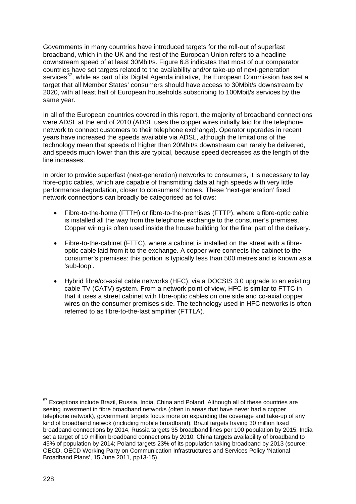Governments in many countries have introduced targets for the roll-out of superfast broadband, which in the UK and the rest of the European Union refers to a headline downstream speed of at least 30Mbit/s. [Figure 6.8](#page-12-0) indicates that most of our comparator countries have set targets related to the availability and/or take-up of next-generation services<sup>[57](#page-11-0)</sup>, while as part of its Digital Agenda initiative, the European Commission has set a target that all Member States' consumers should have access to 30Mbit/s downstream by 2020, with at least half of European households subscribing to 100Mbit/s services by the same year.

In all of the European countries covered in this report, the majority of broadband connections were ADSL at the end of 2010 (ADSL uses the copper wires initially laid for the telephone network to connect customers to their telephone exchange). Operator upgrades in recent years have increased the speeds available via ADSL, although the limitations of the technology mean that speeds of higher than 20Mbit/s downstream can rarely be delivered, and speeds much lower than this are typical, because speed decreases as the length of the line increases.

In order to provide superfast (next-generation) networks to consumers, it is necessary to lay fibre-optic cables, which are capable of transmitting data at high speeds with very little performance degradation, closer to consumers' homes. These 'next-generation' fixed network connections can broadly be categorised as follows:

- Fibre-to-the-home (FTTH) or fibre-to-the-premises (FTTP), where a fibre-optic cable is installed all the way from the telephone exchange to the consumer's premises. Copper wiring is often used inside the house building for the final part of the delivery.
- Fibre-to-the-cabinet (FTTC), where a cabinet is installed on the street with a fibreoptic cable laid from it to the exchange. A copper wire connects the cabinet to the consumer's premises: this portion is typically less than 500 metres and is known as a 'sub-loop'.
- Hybrid fibre/co-axial cable networks (HFC), via a DOCSIS 3.0 upgrade to an existing cable TV (CATV) system. From a network point of view, HFC is similar to FTTC in that it uses a street cabinet with fibre-optic cables on one side and co-axial copper wires on the consumer premises side. The technology used in HFC networks is often referred to as fibre-to-the-last amplifier (FTTLA).

<span id="page-11-0"></span><sup>&</sup>lt;sup>57</sup> Exceptions include Brazil, Russia, India, China and Poland. Although all of these countries are seeing investment in fibre broadband networks (often in areas that have never had a copper telephone network), government targets focus more on expanding the coverage and take-up of any kind of broadband netwok (including mobile broadband). Brazil targets having 30 million fixed broadband connections by 2014, Russia targets 35 broadband lines per 100 population by 2015, India set a target of 10 million broadband connections by 2010, China targets availability of broadband to 45% of population by 2014; Poland targets 23% of its population taking broadband by 2013 (source: OECD, OECD Working Party on Communication Infrastructures and Services Policy 'National Broadband Plans', 15 June 2011, pp13-15).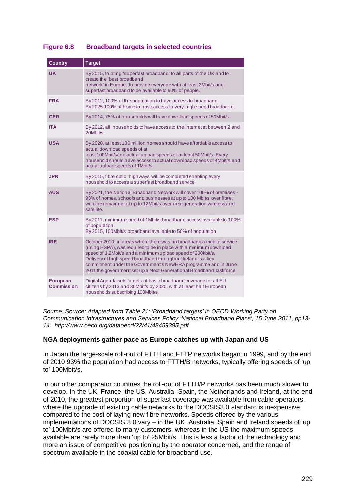| <b>Country</b>                       | <b>Target</b>                                                                                                                                                                                                                                                                                                                                                                                                    |
|--------------------------------------|------------------------------------------------------------------------------------------------------------------------------------------------------------------------------------------------------------------------------------------------------------------------------------------------------------------------------------------------------------------------------------------------------------------|
| <b>UK</b>                            | By 2015, to bring "superfast broadband" to all parts of the UK and to<br>create the "best broadband<br>network" in Europe. To provide everyone with at least 2Mbit/s and<br>superfast broadband to be available to 90% of people.                                                                                                                                                                                |
| <b>FRA</b>                           | By 2012, 100% of the population to have access to broadband.<br>By 2025 100% of home to have access to very high speed broadband.                                                                                                                                                                                                                                                                                |
| <b>GER</b>                           | By 2014, 75% of households will have download speeds of 50Mbit/s.                                                                                                                                                                                                                                                                                                                                                |
| <b>ITA</b>                           | By 2012, all households to have access to the Internet at between 2 and<br>20Mbit/s.                                                                                                                                                                                                                                                                                                                             |
| <b>USA</b>                           | By 2020, at least 100 million homes should have affordable access to<br>actual download speeds of at<br>least 100Mbit/sand actual upload speeds of at least 50Mbit/s. Every<br>household should have access to actual download speeds of 4Mbit/s and<br>actual upload speeds of 1Mbit/s.                                                                                                                         |
| <b>JPN</b>                           | By 2015, fibre optic 'highways' will be completed enabling every<br>household to access a superfast broadband service                                                                                                                                                                                                                                                                                            |
| <b>AUS</b>                           | By 2021, the National Broadband Network will cover 100% of premises -<br>93% of homes, schools and businesses at up to 100 Mbit/s over fibre,<br>with the remainder at up to 12Mbit/s over next generation wireless and<br>satellite.                                                                                                                                                                            |
| <b>ESP</b>                           | By 2011, minimum speed of 1Mbit/s broadband access available to 100%<br>of population.<br>By 2015, 100Mbit/s broadband available to 50% of population.                                                                                                                                                                                                                                                           |
| <b>IRE</b>                           | October 2010; in areas where there was no broadband a mobile service<br>(using HSPA), was required to be in place with a minimum download<br>speed of 1.2Mbit/s and a minimum upload speed of 200kbit/s.<br>Delivery of high speed broadband throughout Ireland is a key<br>commitment under the Government's NewERA programme and in June<br>2011 the government set up a Next Generational Broadband Taskforce |
| <b>European</b><br><b>Commission</b> | Digital Agenda sets targets of basic broadband coverage for all EU<br>citizens by 2013 and 30Mbit/s by 2020, with at least half European<br>households subscribing 100Mbit/s.                                                                                                                                                                                                                                    |

## <span id="page-12-0"></span>**Figure 6.8 Broadband targets in selected countries**

*Source: Source: Adapted from Table 21: 'Broadband targets' in OECD Working Party on Communication Infrastructures and Services Policy 'National Broadband Plans', 15 June 2011, pp13- 14 , http://www.oecd.org/dataoecd/22/41/48459395.pdf*

#### **NGA deployments gather pace as Europe catches up with Japan and US**

In Japan the large-scale roll-out of FTTH and FTTP networks began in 1999, and by the end of 2010 93% the population had access to FTTH/B networks, typically offering speeds of 'up to' 100Mbit/s.

In our other comparator countries the roll-out of FTTH/P networks has been much slower to develop. In the UK, France, the US, Australia, Spain, the Netherlands and Ireland, at the end of 2010, the greatest proportion of superfast coverage was available from cable operators, where the upgrade of existing cable networks to the DOCSIS3.0 standard is inexpensive compared to the cost of laying new fibre networks. Speeds offered by the various implementations of DOCSIS 3.0 vary – in the UK, Australia, Spain and Ireland speeds of 'up to' 100Mbit/s are offered to many customers, whereas in the US the maximum speeds available are rarely more than 'up to' 25Mbit/s. This is less a factor of the technology and more an issue of competitive positioning by the operator concerned, and the range of spectrum available in the coaxial cable for broadband use.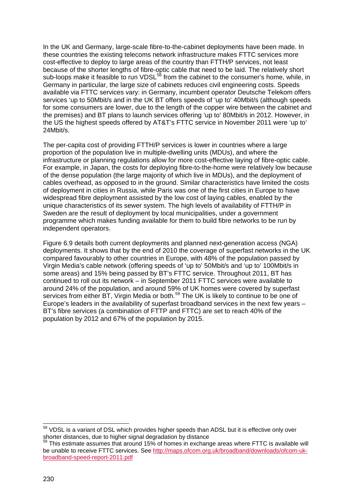In the UK and Germany, large-scale fibre-to-the-cabinet deployments have been made. In these countries the existing telecoms network infrastructure makes FTTC services more cost-effective to deploy to large areas of the country than FTTH/P services, not least because of the shorter lengths of fibre-optic cable that need to be laid. The relatively short sub-loops make it feasible to run VDSL<sup>[58](#page-13-0)</sup> from the cabinet to the consumer's home, while, in Germany in particular, the large size of cabinets reduces civil engineering costs. Speeds available via FTTC services vary: in Germany, incumbent operator Deutsche Telekom offers services 'up to 50Mbit/s and in the UK BT offers speeds of 'up to' 40Mbit/s (although speeds for some consumers are lower, due to the length of the copper wire between the cabinet and the premises) and BT plans to launch services offering 'up to' 80Mbit/s in 2012. However, in the US the highest speeds offered by AT&T's FTTC service in November 2011 were 'up to' 24Mbit/s.

The per-capita cost of providing FTTH/P services is lower in countries where a large proportion of the population live in multiple-dwelling units (MDUs), and where the infrastructure or planning regulations allow for more cost-effective laying of fibre-optic cable. For example, in Japan, the costs for deploying fibre-to-the-home were relatively low because of the dense population (the large majority of which live in MDUs), and the deployment of cables overhead, as opposed to in the ground. Similar characteristics have limited the costs of deployment in cities in Russia, while Paris was one of the first cities in Europe to have widespread fibre deployment assisted by the low cost of laying cables, enabled by the unique characteristics of its sewer system. The high levels of availability of FTTH/P in Sweden are the result of deployment by local municipalities, under a government programme which makes funding available for them to build fibre networks to be run by independent operators.

[Figure 6.9](#page-14-0) details both current deployments and planned next-generation access (NGA) deployments. It shows that by the end of 2010 the coverage of superfast networks in the UK compared favourably to other countries in Europe, with 48% of the population passed by Virgin Media's cable network (offering speeds of 'up to' 50Mbit/s and 'up to' 100Mbit/s in some areas) and 15% being passed by BT's FTTC service. Throughout 2011, BT has continued to roll out its network – in September 2011 FTTC services were available to around 24% of the population, and around 59% of UK homes were covered by superfast services from either BT, Virgin Media or both.<sup>[59](#page-13-1)</sup> The UK is likely to continue to be one of Europe's leaders in the availability of superfast broadband services in the next few years – BT's fibre services (a combination of FTTP and FTTC) are set to reach 40% of the population by 2012 and 67% of the population by 2015.

<span id="page-13-0"></span><sup>&</sup>lt;sup>58</sup> VDSL is a variant of DSL which provides higher speeds than ADSL but it is effective only over shorter distances, due to higher signal degradation by distance

<span id="page-13-1"></span><sup>&</sup>lt;sup>59</sup> This estimate assumes that around 15% of homes in exchange areas where FTTC is available will be unable to receive FTTC services. See [http://maps.ofcom.org.uk/broadband/downloads/ofcom-uk](http://maps.ofcom.org.uk/broadband/downloads/ofcom-uk-broadband-speed-report-2011.pdf)[broadband-speed-report-2011.pdf](http://maps.ofcom.org.uk/broadband/downloads/ofcom-uk-broadband-speed-report-2011.pdf)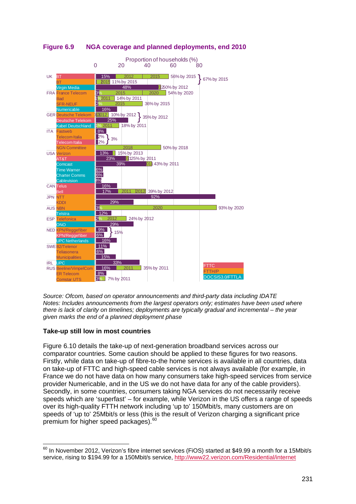

<span id="page-14-0"></span>**Figure 6.9 NGA coverage and planned deployments, end 2010**

*Source: Ofcom, based on operator announcements and third-party data including IDATE Notes: Includes announcements from the largest operators only; estimates have been used where there is lack of clarity on timelines; deployments are typically gradual and incremental – the year given marks the end of a planned deployment phase*

# **Take-up still low in most countries**

[Figure 6.10](#page-16-1) details the take-up of next-generation broadband services across our comparator countries. Some caution should be applied to these figures for two reasons. Firstly, while data on take-up of fibre-to-the home services is available in all countries, data on take-up of FTTC and high-speed cable services is not always available (for example, in France we do not have data on how many consumers take high-speed services from service provider Numericable, and in the US we do not have data for any of the cable providers). Secondly, in some countries, consumers taking NGA services do not necessarily receive speeds which are 'superfast' – for example, while Verizon in the US offers a range of speeds over its high-quality FTTH network including 'up to' 150Mbit/s, many customers are on speeds of 'up to' 25Mbit/s or less (this is the result of Verizon charging a significant price premium for higher speed packages).<sup>[60](#page-14-1)</sup>

<span id="page-14-1"></span> $60$  In November 2012, Verizon's fibre internet services (FiOS) started at \$49.99 a month for a 15Mbit/s service, rising to \$194.99 for a 150Mbit/s service,<http://www22.verizon.com/Residential/internet>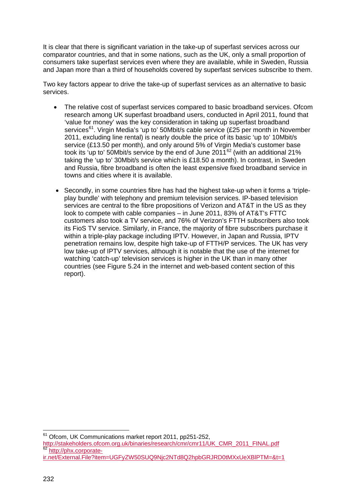It is clear that there is significant variation in the take-up of superfast services across our comparator countries, and that in some nations, such as the UK, only a small proportion of consumers take superfast services even where they are available, while in Sweden, Russia and Japan more than a third of households covered by superfast services subscribe to them.

Two key factors appear to drive the take-up of superfast services as an alternative to basic services.

- The relative cost of superfast services compared to basic broadband services. Ofcom research among UK superfast broadband users, conducted in April 2011, found that 'value for money' was the key consideration in taking up superfast broadband services<sup>61</sup>. Virgin Media's 'up to' 50Mbit/s cable service (£25 per month in November 2011, excluding line rental) is nearly double the price of its basic 'up to' 10Mbit/s service (£13.50 per month), and only around 5% of Virgin Media's customer base took its 'up to' 50Mbit/s service by the end of June 2011<sup>[62](#page-15-1)</sup> (with an additional 21% taking the 'up to' 30Mbit/s service which is £18.50 a month). In contrast, in Sweden and Russia, fibre broadband is often the least expensive fixed broadband service in towns and cities where it is available.
- Secondly, in some countries fibre has had the highest take-up when it forms a 'tripleplay bundle' with telephony and premium television services. IP-based television services are central to the fibre propositions of Verizon and AT&T in the US as they look to compete with cable companies – in June 2011, 83% of AT&T's FTTC customers also took a TV service, and 76% of Verizon's FTTH subscribers also took its FioS TV service. Similarly, in France, the majority of fibre subscribers purchase it within a triple-play package including IPTV. However, in Japan and Russia, IPTV penetration remains low, despite high take-up of FTTH/P services. The UK has very low take-up of IPTV services, although it is notable that the use of the internet for watching 'catch-up' television services is higher in the UK than in many other countries (see Figure 5.24 in the internet and web-based content section of this report).

<span id="page-15-0"></span>61 Ofcom, UK Communications market report 2011, pp251-252,

<span id="page-15-1"></span>[http://stakeholders.ofcom.org.uk/binaries/research/cmr/cmr11/UK\\_CMR\\_2011\\_FINAL.pdf](http://stakeholders.ofcom.org.uk/binaries/research/cmr/cmr11/UK_CMR_2011_FINAL.pdf) [http://phx.corporate-](http://phx.corporate-ir.net/External.File?item=UGFyZW50SUQ9Njc2NTd8Q2hpbGRJRD0tMXxUeXBlPTM=&t=1)

[ir.net/External.File?item=UGFyZW50SUQ9Njc2NTd8Q2hpbGRJRD0tMXxUeXBlPTM=&t=1](http://phx.corporate-ir.net/External.File?item=UGFyZW50SUQ9Njc2NTd8Q2hpbGRJRD0tMXxUeXBlPTM=&t=1)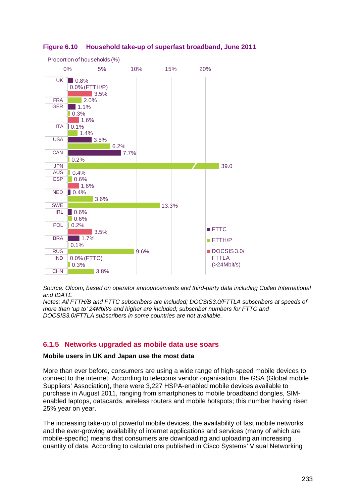

### <span id="page-16-1"></span>**Figure 6.10 Household take-up of superfast broadband, June 2011**

*Source: Ofcom, based on operator announcements and third-party data including Cullen International and IDATE*

*Notes: All FTTH/B and FTTC subscribers are included; DOCSIS3.0/FTTLA subscribers at speeds of more than 'up to' 24Mbit/s and higher are included; subscriber numbers for FTTC and DOCSIS3.0/FTTLA subscribers in some countries are not available.*

# <span id="page-16-0"></span>**6.1.5 Networks upgraded as mobile data use soars**

#### **Mobile users in UK and Japan use the most data**

More than ever before, consumers are using a wide range of high-speed mobile devices to connect to the internet. According to telecoms vendor organisation, the GSA (Global mobile Suppliers' Association), there were 3,227 HSPA-enabled mobile devices available to purchase in August 2011, ranging from smartphones to mobile broadband dongles, SIMenabled laptops, datacards, wireless routers and mobile hotspots; this number having risen 25% year on year.

The increasing take-up of powerful mobile devices, the availability of fast mobile networks and the ever-growing availability of internet applications and services (many of which are mobile-specific) means that consumers are downloading and uploading an increasing quantity of data. According to calculations published in Cisco Systems' Visual Networking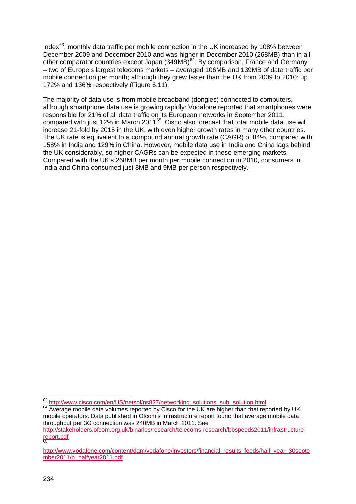Index $63$ , monthly data traffic per mobile connection in the UK increased by 108% between December 2009 and December 2010 and was higher in December 2010 (268MB) than in all other comparator countries except Japan (349MB)<sup>[64](#page-17-1)</sup>. By comparison, France and Germany 172% and 136% respectively ([Figure 6.11](#page-18-0)). – two of Europe's largest telecoms markets – averaged 106MB and 139MB of data traffic per mobile connection per month; although they grew faster than the UK from 2009 to 2010: up

The majority of data use is from mobile broadband (dongles) connected to computers, although smartphone data use is growing rapidly: Vodafone reported that smartphones were responsible for 21% of all data traffic on its European networks in September 2011, compared with just 12% in March 2011<sup>[65](#page-17-2)</sup>. Cisco also forecast that total mobile data use will increase 21-fold by 2015 in the UK, with even higher growth rates in many other countries. The UK rate is equivalent to a compound annual growth rate (CAGR) of 84%, compared with 158% in India and 129% in China. However, mobile data use in India and China lags behind the UK considerably, so higher CAGRs can be expected in these emerging markets. Compared with the UK's 268MB per month per mobile connection in 2010, consumers in India and China consumed just 8MB and 9MB per person respectively.

<span id="page-17-0"></span><sup>63</sup> http://www.cisco.com/en/US/netsol/ns827/networking\_solutions\_sub\_solution.html

<span id="page-17-1"></span><sup>&</sup>lt;sup>64</sup> Average mobile data volumes reported by Cisco for the UK are higher than that reported by UK mobile operators. Data published in Ofcom's Infrastructure report found that average mobile data throughput per 3G connection was 240MB in March 2011. See [http://stakeholders.ofcom.org.uk/binaries/research/telecoms-research/bbspeeds2011/infrastructure-](http://stakeholders.ofcom.org.uk/binaries/research/telecoms-research/bbspeeds2011/infrastructure-report.pdf)

[report.pdf](http://stakeholders.ofcom.org.uk/binaries/research/telecoms-research/bbspeeds2011/infrastructure-report.pdf) 65

<span id="page-17-2"></span>[http://www.vodafone.com/content/dam/vodafone/investors/financial\\_results\\_feeds/half\\_year\\_30septe](http://www.vodafone.com/content/dam/vodafone/investors/financial_results_feeds/half_year_30september2011/p_halfyear2011.pdf) [mber2011/p\\_halfyear2011.pdf](http://www.vodafone.com/content/dam/vodafone/investors/financial_results_feeds/half_year_30september2011/p_halfyear2011.pdf)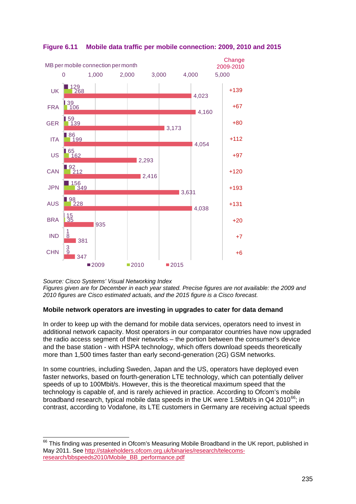

# <span id="page-18-0"></span>**Figure 6.11 Mobile data traffic per mobile connection: 2009, 2010 and 2015**

*Source: Cisco Systems' Visual Networking Index Figures given are for December in each year stated. Precise figures are not available: the 2009 and 2010 figures are Cisco estimated actuals, and the 2015 figure is a Cisco forecast.*

# **Mobile network operators are investing in upgrades to cater for data demand**

In order to keep up with the demand for mobile data services, operators need to invest in additional network capacity. Most operators in our comparator countries have now upgraded the radio access segment of their networks – the portion between the consumer's device and the base station - with HSPA technology, which offers download speeds theoretically more than 1,500 times faster than early second-generation (2G) GSM networks.

In some countries, including Sweden, Japan and the US, operators have deployed even faster networks, based on fourth-generation LTE technology, which can potentially deliver speeds of up to 100Mbit/s. However, this is the theoretical maximum speed that the technology is capable of, and is rarely achieved in practice. According to Ofcom's mobile broadband research, typical mobile data speeds in the UK were 1.5Mbit/s in Q4 2010<sup>[66](#page-18-1)</sup>; in contrast, according to Vodafone, its LTE customers in Germany are receiving actual speeds

<span id="page-18-1"></span><sup>&</sup>lt;sup>66</sup> This finding was presented in Ofcom's Measuring Mobile Broadband in the UK report, published in May 2011. See [http://stakeholders.ofcom.org.uk/binaries/research/telecoms](http://stakeholders.ofcom.org.uk/binaries/research/telecoms-research/bbspeeds2010/Mobile_BB_performance.pdf)[research/bbspeeds2010/Mobile\\_BB\\_performance.pdf](http://stakeholders.ofcom.org.uk/binaries/research/telecoms-research/bbspeeds2010/Mobile_BB_performance.pdf)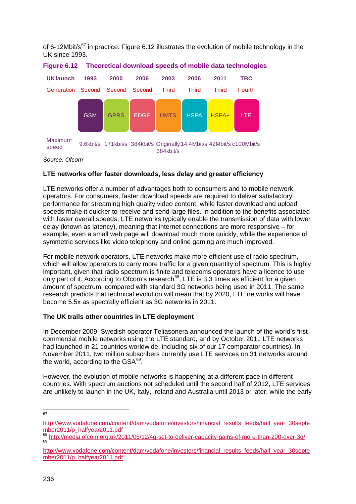of 6-12Mbit/s $67$  in practice. [Figure 6.12](#page-19-0) illustrates the evolution of mobile technology in the UK since 1993.



#### <span id="page-19-0"></span>**Figure 6.12 Theoretical download speeds of mobile data technologies**

*Source: Ofcom*

### **LTE networks offer faster downloads, less delay and greater efficiency**

LTE networks offer a number of advantages both to consumers and to mobile network operators. For consumers, faster download speeds are required to deliver satisfactory performance for streaming high quality video content, while faster download and upload speeds make it quicker to receive and send large files. In addition to the benefits associated with faster overall speeds, LTE networks typically enable the transmission of data with lower delay (known as latency), meaning that internet connections are more responsive – for example, even a small web page will download much more quickly, while the experience of symmetric services like video telephony and online gaming are much improved.

For mobile network operators, LTE networks make more efficient use of radio spectrum, which will allow operators to carry more traffic for a given quantity of spectrum. This is highly important, given that radio spectrum is finite and telecoms operators have a licence to use only part of it. According to Ofcom's research<sup>[68](#page-19-2)</sup>, LTE is 3.3 times as efficient for a given amount of spectrum, compared with standard 3G networks being used in 2011. The same research predicts that technical evolution will mean that by 2020, LTE networks will have become 5.5x as spectrally efficient as 3G networks in 2011.

#### **The UK trails other countries in LTE deployment**

In December 2009, Swedish operator Teliasonera announced the launch of the world's first commercial mobile networks using the LTE standard, and by October 2011 LTE networks had launched in 21 countries worldwide, including six of our 17 comparator countries). In November 2011, two million subscribers currently use LTE services on 31 networks around the world, according to the  $\textsf{GSA}^{\text{69}}$  $\textsf{GSA}^{\text{69}}$  $\textsf{GSA}^{\text{69}}$ .

However, the evolution of mobile networks is happening at a different pace in different countries. With spectrum auctions not scheduled until the second half of 2012, LTE services are unlikely to launch in the UK, Italy, Ireland and Australia until 2013 or later, while the early

67

<span id="page-19-1"></span>http://www.vodafone.com/content/dam/vodafone/investors/financial\_results\_feeds/half\_vear\_30septe [mber2011/p\\_halfyear2011.pdf](http://www.vodafone.com/content/dam/vodafone/investors/financial_results_feeds/half_year_30september2011/p_halfyear2011.pdf)

<span id="page-19-2"></span> $^{68}_{69}$  <http://media.ofcom.org.uk/2011/05/12/4g-set-to-deliver-capacity-gains-of-more-than-200-over-3g/>

<span id="page-19-3"></span>[http://www.vodafone.com/content/dam/vodafone/investors/financial\\_results\\_feeds/half\\_year\\_30septe](http://www.vodafone.com/content/dam/vodafone/investors/financial_results_feeds/half_year_30september2011/p_halfyear2011.pdf) [mber2011/p\\_halfyear2011.pdf](http://www.vodafone.com/content/dam/vodafone/investors/financial_results_feeds/half_year_30september2011/p_halfyear2011.pdf)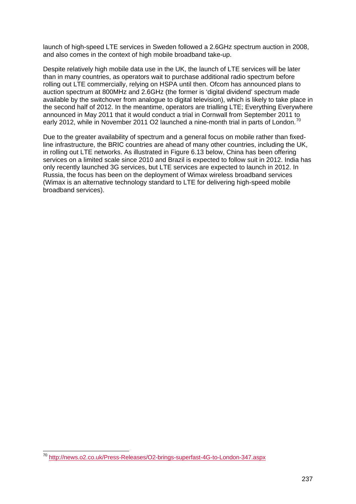launch of high-speed LTE services in Sweden followed a 2.6GHz spectrum auction in 2008, and also comes in the context of high mobile broadband take-up.

Despite relatively high mobile data use in the UK, the launch of LTE services will be later than in many countries, as operators wait to purchase additional radio spectrum before rolling out LTE commercially, relying on HSPA until then. Ofcom has announced plans to auction spectrum at 800MHz and 2.6GHz (the former is 'digital dividend' spectrum made available by the switchover from analogue to digital television), which is likely to take place in the second half of 2012. In the meantime, operators are trialling LTE; Everything Everywhere announced in May 2011 that it would conduct a trial in Cornwall from September 2011 to early 2012, while in November 2011 O2 launched a nine-month trial in parts of London.<sup>[70](#page-20-0)</sup>

Due to the greater availability of spectrum and a general focus on mobile rather than fixedline infrastructure, the BRIC countries are ahead of many other countries, including the UK, in rolling out LTE networks. As illustrated in [Figure 6.13](#page-21-0) below, China has been offering services on a limited scale since 2010 and Brazil is expected to follow suit in 2012. India has only recently launched 3G services, but LTE services are expected to launch in 2012. In Russia, the focus has been on the deployment of Wimax wireless broadband services (Wimax is an alternative technology standard to LTE for delivering high-speed mobile broadband services).

<span id="page-20-0"></span> <sup>70</sup> <http://news.o2.co.uk/Press-Releases/O2-brings-superfast-4G-to-London-347.aspx>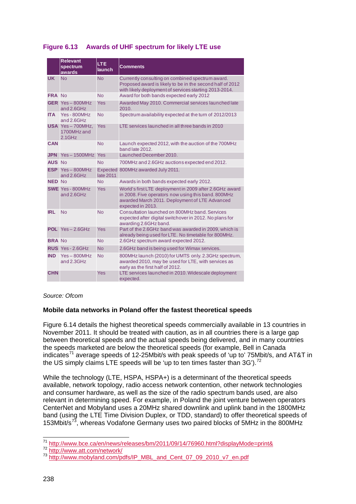<span id="page-21-0"></span>

|  | Figure 6.13 Awards of UHF spectrum for likely LTE use |  |  |  |
|--|-------------------------------------------------------|--|--|--|
|--|-------------------------------------------------------|--|--|--|

|               | <b>Relevant</b><br>spectrum<br>awards       | <b>LTE</b><br><b>launch</b> | <b>Comments</b>                                                                                                                                                                       |
|---------------|---------------------------------------------|-----------------------------|---------------------------------------------------------------------------------------------------------------------------------------------------------------------------------------|
| <b>UK</b>     | <b>No</b>                                   | <b>No</b>                   | Currently consulting on combined spectrum award.<br>Proposed award is likely to be in the second half of 2012<br>with likely deployment of services starting 2013-2014.               |
| <b>FRA No</b> |                                             | <b>No</b>                   | Award for both bands expected early 2012                                                                                                                                              |
|               | GER $Yes - 800MHz$<br>and 2.6GHz            | Yes                         | Awarded May 2010. Commercial services launched late<br>2010.                                                                                                                          |
| <b>ITA</b>    | Yes-800MHz<br>and 2.6GHz                    | <b>No</b>                   | Spectrum availability expected at the turn of 2012/2013                                                                                                                               |
|               | USA Yes-700MHz,<br>1700MHz and<br>$2.1$ GHz | Yes                         | I TF services launched in all three bands in 2010                                                                                                                                     |
| <b>CAN</b>    |                                             | <b>No</b>                   | Launch expected 2012, with the auction of the 700MHz<br>band late 2012.                                                                                                               |
|               | <b>JPN</b> Yes-1500MHz Yes                  |                             | Launched December 2010.                                                                                                                                                               |
| <b>AUS No</b> |                                             | <b>No</b>                   | 700MHz and 2.6GHz auctions expected end 2012.                                                                                                                                         |
|               | $ESP$ Yes $-$ 800MHz<br>and 2.6GHz          | late 2011                   | Expected 800MHz awarded July 2011.                                                                                                                                                    |
| <b>NED No</b> |                                             | <b>No</b>                   | Awards in both bands expected early 2012.                                                                                                                                             |
|               | <b>SWE</b> Yes - 800MHz<br>and 2.6GHz       | <b>Yes</b>                  | World's first LTE deployment in 2009 after 2.6GHz award<br>in 2008. Five operators now using this band. 800MHz<br>awarded March 2011. Deployment of LTE Advanced<br>expected in 2013. |
| <b>IRL</b>    | <b>No</b>                                   | <b>No</b>                   | Consultation launched on 800MHz band, Services<br>expected after digital switchover in 2012. No plans for<br>awarding 2.6GHz band.                                                    |
|               | POL $Yes - 2.6GHz$                          | Yes                         | Part of the 2.6GHz band was awarded in 2009, which is<br>already being used for LTE. No timetable for 800MHz.                                                                         |
| <b>BRA No</b> |                                             | <b>No</b>                   | 2.6GHz spectrum award expected 2012.                                                                                                                                                  |
|               | RUS Yes - 2.6GHz                            | <b>No</b>                   | 2.6GHz band is being used for Wimax services.                                                                                                                                         |
| <b>IND</b>    | $Yes-800MHz$<br>and 2.3GHz                  | <b>No</b>                   | 800MHz launch (2010) for UMTS only. 2.3GHz spectrum,<br>awarded 2010, may be used for LTE, with services as<br>early as the first half of 2012.                                       |
| <b>CHN</b>    |                                             | Yes                         | LTE services launched in 2010. Widescale deployment<br>expected.                                                                                                                      |

*Source: Ofcom*

# **Mobile data networks in Poland offer the fastest theoretical speeds**

[Figure 6.14](#page-22-0) details the highest theoretical speeds commercially available in 13 countries in November 2011. It should be treated with caution, as in all countries there is a large gap between theoretical speeds and the actual speeds being delivered, and in many countries the speeds marketed are below the theoretical speeds (for example, Bell in Canada indicates<sup>[71](#page-21-1)</sup> average speeds of 12-25Mbit/s with peak speeds of 'up to' 75Mbit/s, and AT&T in the US simply claims LTE speeds will be 'up to ten times faster than  $3G'$ ).<sup>[72](#page-21-2)</sup>

While the technology (LTE, HSPA, HSPA+) is a determinant of the theoretical speeds available, network topology, radio access network contention, other network technologies and consumer hardware, as well as the size of the radio spectrum bands used, are also relevant in determining speed. For example, in Poland the joint venture between operators CenterNet and Mobyland uses a 20MHz shared downlink and uplink band in the 1800MHz band (using the LTE Time Division Duplex, or TDD, standard) to offer theoretical speeds of 153Mbit/s<sup>[73](#page-21-3)</sup>, whereas Vodafone Germany uses two paired blocks of 5MHz in the 800MHz

<sup>71</sup> http://www.bce.ca/en/news/releases/bm/2011/09/14/76960.html?displayMode=print&

<span id="page-21-3"></span><span id="page-21-2"></span><span id="page-21-1"></span><sup>&</sup>lt;sup>72</sup> <http://www.att.com/network/><br><sup>73</sup> [http://www.mobyland.com/pdfs/IP\\_MBL\\_and\\_Cent\\_07\\_09\\_2010\\_v7\\_en.pdf](http://www.mobyland.com/pdfs/IP_MBL_and_Cent_07_09_2010_v7_en.pdf)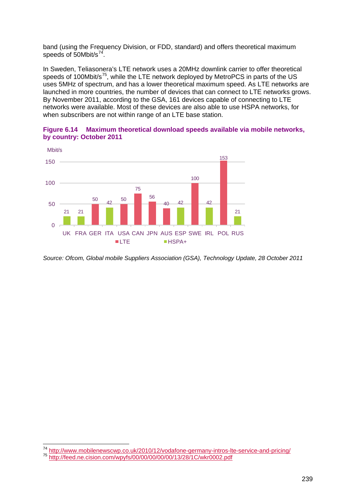band (using the Frequency Division, or FDD, standard) and offers theoretical maximum speeds of 50Mbit/s<sup>[74](#page-22-1)</sup>.

In Sweden, Teliasonera's LTE network uses a 20MHz downlink carrier to offer theoretical speeds of 100Mbit/s<sup>[75](#page-22-2)</sup>, while the LTE network deployed by MetroPCS in parts of the US uses 5MHz of spectrum, and has a lower theoretical maximum speed. As LTE networks are launched in more countries, the number of devices that can connect to LTE networks grows. By November 2011, according to the GSA, 161 devices capable of connecting to LTE networks were available. Most of these devices are also able to use HSPA networks, for when subscribers are not within range of an LTE base station.

<span id="page-22-0"></span>



*Source: Ofcom, Global mobile Suppliers Association (GSA), Technology Update, 28 October 2011*

<span id="page-22-1"></span><sup>74</sup> <http://www.mobilenewscwp.co.uk/2010/12/vodafone-germany-intros-lte-service-and-pricing/> <sup>75</sup> <http://feed.ne.cision.com/wpyfs/00/00/00/00/00/13/28/1C/wkr0002.pdf>

<span id="page-22-2"></span>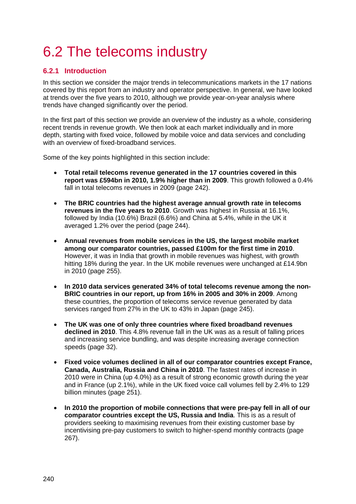# <span id="page-23-0"></span>6.2 The telecoms industry

# <span id="page-23-1"></span>**6.2.1 Introduction**

In this section we consider the major trends in telecommunications markets in the 17 nations covered by this report from an industry and operator perspective. In general, we have looked at trends over the five years to 2010, although we provide year-on-year analysis where trends have changed significantly over the period.

In the first part of this section we provide an overview of the industry as a whole, considering recent trends in revenue growth. We then look at each market individually and in more depth, starting with fixed voice, followed by mobile voice and data services and concluding with an overview of fixed-broadband services.

Some of the key points highlighted in this section include:

- **Total retail telecoms revenue generated in the 17 countries covered in this report was £594bn in 2010, 1.9% higher than in 2009**. This growth followed a 0.4% fall in total telecoms revenues in 2009 (page [242\)](#page-25-0).
- **The BRIC countries had the highest average annual growth rate in telecoms revenues in the five years to 2010**. Growth was highest in Russia at 16.1%, followed by India (10.6%) Brazil (6.6%) and China at 5.4%, while in the UK it averaged 1.2% over the period (page [244\)](#page-27-0).
- **Annual revenues from mobile services in the US, the largest mobile market among our comparator countries, passed £100m for the first time in 2010**. However, it was in India that growth in mobile revenues was highest, with growth hitting 18% during the year. In the UK mobile revenues were unchanged at £14.9bn in 2010 (page [255\)](#page-38-0).
- **In 2010 data services generated 34% of total telecoms revenue among the non-BRIC countries in our report, up from 16% in 2005 and 30% in 2009**. Among these countries, the proportion of telecoms service revenue generated by data services ranged from 27% in the UK to 43% in Japan (page [245\)](#page-28-0).
- **The UK was one of only three countries where fixed broadband revenues declined in 2010**. This 4.8% revenue fall in the UK was as a result of falling prices and increasing service bundling, and was despite increasing average connection speeds (page 32).
- **Fixed voice volumes declined in all of our comparator countries except France, Canada, Australia, Russia and China in 2010**. The fastest rates of increase in 2010 were in China (up 4.0%) as a result of strong economic growth during the year and in France (up 2.1%), while in the UK fixed voice call volumes fell by 2.4% to 129 billion minutes (page [251\)](#page-34-0).
- **In 2010 the proportion of mobile connections that were pre-pay fell in all of our comparator countries except the US, Russia and India**. This is as a result of providers seeking to maximising revenues from their existing customer base by incentivising pre-pay customers to switch to higher-spend monthly contracts (page [267\)](#page-50-0).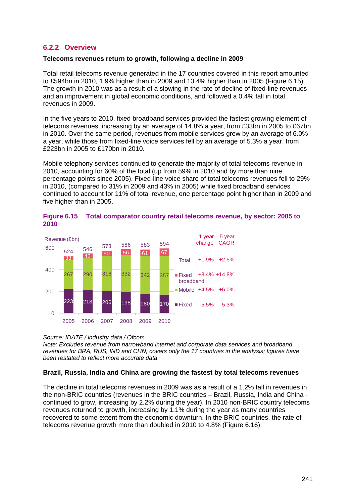## **6.2.2 Overview**

#### <span id="page-24-0"></span>**Telecoms revenues return to growth, following a decline in 2009**

Total retail telecoms revenue generated in the 17 countries covered in this report amounted to £594bn in 2010, 1.9% higher than in 2009 and 13.4% higher than in 2005 [\(Figure 6.15\)](#page-24-1). The growth in 2010 was as a result of a slowing in the rate of decline of fixed-line revenues and an improvement in global economic conditions, and followed a 0.4% fall in total revenues in 2009.

In the five years to 2010, fixed broadband services provided the fastest growing element of telecoms revenues, increasing by an average of 14.8% a year, from £33bn in 2005 to £67bn in 2010. Over the same period, revenues from mobile services grew by an average of 6.0% a year, while those from fixed-line voice services fell by an average of 5.3% a year, from £223bn in 2005 to £170bn in 2010.

Mobile telephony services continued to generate the majority of total telecoms revenue in 2010, accounting for 60% of the total (up from 59% in 2010 and by more than nine percentage points since 2005). Fixed-line voice share of total telecoms revenues fell to 29% in 2010, (compared to 31% in 2009 and 43% in 2005) while fixed broadband services continued to account for 11% of total revenue, one percentage point higher than in 2009 and five higher than in 2005.



<span id="page-24-1"></span>

|      | Figure 6.15 Total comparator country retail telecoms revenue, by sector: 2005 to |
|------|----------------------------------------------------------------------------------|
| 2010 |                                                                                  |

#### *Source: IDATE / industry data / Ofcom*

*Note: Excludes revenue from narrowband internet and corporate data services and broadband revenues for BRA, RUS, IND and CHN; covers only the 17 countries in the analysis; figures have been restated to reflect more accurate data*

#### **Brazil, Russia, India and China are growing the fastest by total telecoms revenues**

The decline in total telecoms revenues in 2009 was as a result of a 1.2% fall in revenues in the non-BRIC countries (revenues in the BRIC countries – Brazil, Russia, India and China continued to grow, increasing by 2.2% during the year). In 2010 non-BRIC country telecoms revenues returned to growth, increasing by 1.1% during the year as many countries recovered to some extent from the economic downturn. In the BRIC countries, the rate of telecoms revenue growth more than doubled in 2010 to 4.8% [\(Figure 6.16\)](#page-25-0).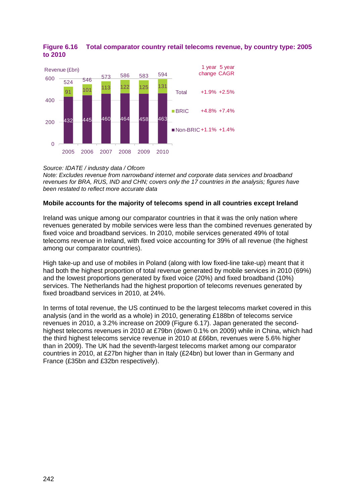

#### <span id="page-25-0"></span>**Figure 6.16 Total comparator country retail telecoms revenue, by country type: 2005 to 2010**

*Source: IDATE / industry data / Ofcom*

*Note: Excludes revenue from narrowband internet and corporate data services and broadband revenues for BRA, RUS, IND and CHN; covers only the 17 countries in the analysis; figures have been restated to reflect more accurate data*

#### **Mobile accounts for the majority of telecoms spend in all countries except Ireland**

Ireland was unique among our comparator countries in that it was the only nation where revenues generated by mobile services were less than the combined revenues generated by fixed voice and broadband services. In 2010, mobile services generated 49% of total telecoms revenue in Ireland, with fixed voice accounting for 39% of all revenue (the highest among our comparator countries).

High take-up and use of mobiles in Poland (along with low fixed-line take-up) meant that it had both the highest proportion of total revenue generated by mobile services in 2010 (69%) and the lowest proportions generated by fixed voice (20%) and fixed broadband (10%) services. The Netherlands had the highest proportion of telecoms revenues generated by fixed broadband services in 2010, at 24%.

In terms of total revenue, the US continued to be the largest telecoms market covered in this analysis (and in the world as a whole) in 2010, generating £188bn of telecoms service revenues in 2010, a 3.2% increase on 2009 [\(Figure 6.17\)](#page-26-0). Japan generated the secondhighest telecoms revenues in 2010 at £79bn (down 0.1% on 2009) while in China, which had the third highest telecoms service revenue in 2010 at £66bn, revenues were 5.6% higher than in 2009). The UK had the seventh-largest telecoms market among our comparator countries in 2010, at £27bn higher than in Italy (£24bn) but lower than in Germany and France (£35bn and £32bn respectively).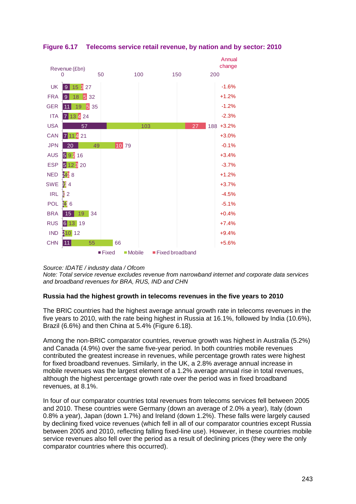

# <span id="page-26-0"></span>**Figure 6.17 Telecoms service retail revenue, by nation and by sector: 2010**

#### *Source: IDATE / industry data / Ofcom*

*Note: Total service revenue excludes revenue from narrowband internet and corporate data services and broadband revenues for BRA, RUS, IND and CHN*

#### **Russia had the highest growth in telecoms revenues in the five years to 2010**

The BRIC countries had the highest average annual growth rate in telecoms revenues in the five years to 2010, with the rate being highest in Russia at 16.1%, followed by India (10.6%), Brazil (6.6%) and then China at 5.4% [\(Figure 6.18\)](#page-27-0).

Among the non-BRIC comparator countries, revenue growth was highest in Australia (5.2%) and Canada (4.9%) over the same five-year period. In both countries mobile revenues contributed the greatest increase in revenues, while percentage growth rates were highest for fixed broadband revenues. Similarly, in the UK, a 2.8% average annual increase in mobile revenues was the largest element of a 1.2% average annual rise in total revenues, although the highest percentage growth rate over the period was in fixed broadband revenues, at 8.1%.

In four of our comparator countries total revenues from telecoms services fell between 2005 and 2010. These countries were Germany (down an average of 2.0% a year), Italy (down 0.8% a year), Japan (down 1.7%) and Ireland (down 1.2%). These falls were largely caused by declining fixed voice revenues (which fell in all of our comparator countries except Russia between 2005 and 2010, reflecting falling fixed-line use). However, in these countries mobile service revenues also fell over the period as a result of declining prices (they were the only comparator countries where this occurred).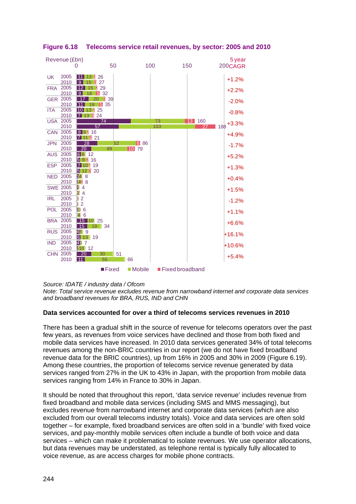|            | Revenue (£bn)           |                     |                      |          |     |                   |     | 5 year       |
|------------|-------------------------|---------------------|----------------------|----------|-----|-------------------|-----|--------------|
|            |                         |                     | 50                   | 100      |     | 150               |     | 200CAGR      |
|            |                         |                     |                      |          |     |                   |     |              |
| <b>UK</b>  | 2005<br>2010            | 11<br>2<br>13<br>-9 | 26<br>27             |          |     |                   |     | $+1.2%$      |
| <b>FRA</b> | 2005                    | 12                  | 29                   |          |     |                   |     |              |
|            | 2010                    | -9<br>18            | 32                   |          |     |                   |     | $+2.2%$      |
|            | <b>GER 2005</b>         | 20                  | 8<br>39              |          |     |                   |     | $-2.0%$      |
|            | 2010                    |                     | 35<br>51             |          |     |                   |     |              |
| <b>ITA</b> | 2005                    | 2                   | 25                   |          |     |                   |     | $-0.8%$      |
|            | 2010<br>2005            | 4 24<br>13.<br>17   |                      |          | 73  |                   |     |              |
| <b>USA</b> | 2010                    | 57                  | 74                   |          | 103 | 13 <sup>1</sup>   | 160 | +3.3%<br>188 |
| <b>CAN</b> | 2005                    | 8 6 2 16            |                      |          |     |                   |     |              |
|            | 2010                    | 4 21<br>17  <br>11  |                      |          |     |                   |     | $+4.9%$      |
| <b>JPN</b> | 2005                    | 28                  | 52                   | 6 86     |     |                   |     | $-1.7%$      |
|            | 2010                    | 20                  | 49                   | 10<br>79 |     |                   |     |              |
| <b>AUS</b> | 2005                    | 661<br>12           |                      |          |     |                   |     | $+5.2%$      |
|            | 2010                    | 16<br>592           |                      |          |     |                   |     |              |
| <b>ESP</b> | 2005<br>2010            | 7 10 2 19<br>512320 |                      |          |     |                   |     | $+1.3%$      |
| <b>NED</b> | 2005                    | 3418                |                      |          |     |                   |     |              |
|            | 2010                    | 2428                |                      |          |     |                   |     | $+0.4%$      |
|            | <b>SWE 2005</b>         | 24                  |                      |          |     |                   |     | $+1.5%$      |
|            | 2010                    | iz 4                |                      |          |     |                   |     |              |
| <b>IRL</b> | 2005                    | <b>₫2</b>           |                      |          |     |                   |     | $-1.2%$      |
|            | 2010                    | $\overline{2}$<br>ï |                      |          |     |                   |     |              |
| <b>POL</b> | 2005                    | <b>20 6</b>         |                      |          |     |                   |     | $+1.1%$      |
|            | 2010<br><b>BRA 2005</b> | 146<br>15<br>1100   | 25                   |          |     |                   |     |              |
|            | 2010                    | 15                  | 19   34              |          |     |                   |     | $+6.6%$      |
| <b>RUS</b> | 2005                    | 4509                |                      |          |     |                   |     |              |
|            | 2010                    | 6 13 (19            |                      |          |     |                   |     | $+16.1%$     |
| <b>IND</b> | 2005                    | 437                 |                      |          |     |                   |     | $+10.6%$     |
|            | 2010                    | 210112              |                      |          |     |                   |     |              |
| <b>CHN</b> | 2005                    | 20                  | 30<br>51             |          |     |                   |     | $+5.4%$      |
|            | 2010                    | 11                  | 55                   | 66       |     |                   |     |              |
|            |                         |                     | $\blacksquare$ Fixed | ■Mobile  |     | ■ Fixed broadband |     |              |

<span id="page-27-0"></span>**Figure 6.18 Telecoms service retail revenues, by sector: 2005 and 2010**

*Source: IDATE / industry data / Ofcom*

*Note: Total service revenue excludes revenue from narrowband internet and corporate data services and broadband revenues for BRA, RUS, IND and CHN*

#### **Data services accounted for over a third of telecoms services revenues in 2010**

There has been a gradual shift in the source of revenue for telecoms operators over the past few years, as revenues from voice services have declined and those from both fixed and mobile data services have increased. In 2010 data services generated 34% of total telecoms revenues among the non-BRIC countries in our report (we do not have fixed broadband revenue data for the BRIC countries), up from 16% in 2005 and 30% in 2009 [\(Figure 6.19\)](#page-28-0). Among these countries, the proportion of telecoms service revenue generated by data services ranged from 27% in the UK to 43% in Japan, with the proportion from mobile data services ranging from 14% in France to 30% in Japan.

It should be noted that throughout this report, 'data service revenue' includes revenue from fixed broadband and mobile data services (including SMS and MMS messaging), but excludes revenue from narrowband internet and corporate data services (which are also excluded from our overall telecoms industry totals). Voice and data services are often sold together – for example, fixed broadband services are often sold in a 'bundle' with fixed voice services, and pay-monthly mobile services often include a bundle of both voice and data services – which can make it problematical to isolate revenues. We use operator allocations, but data revenues may be understated, as telephone rental is typically fully allocated to voice revenue, as are access charges for mobile phone contracts.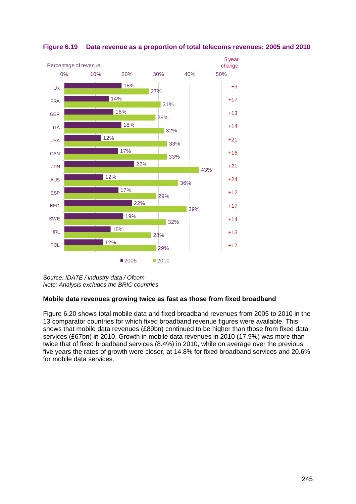

<span id="page-28-0"></span>

*Source: IDATE / industry data / Ofcom Note: Analysis excludes the BRIC countries*

# **Mobile data revenues growing twice as fast as those from fixed broadband**

[Figure 6.20](#page-29-0) shows total mobile data and fixed broadband revenues from 2005 to 2010 in the 13 comparator countries for which fixed broadband revenue figures were available. This shows that mobile data revenues (£89bn) continued to be higher than those from fixed data services (£67bn) in 2010. Growth in mobile data revenues in 2010 (17.9%) was more than twice that of fixed broadband services (8.4%) in 2010, while on average over the previous five years the rates of growth were closer, at 14.8% for fixed broadband services and 20.6% for mobile data services.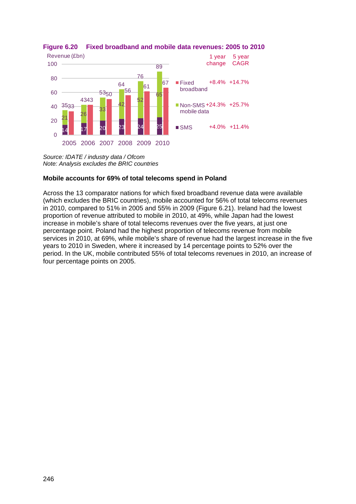

### <span id="page-29-0"></span>**Figure 6.20 Fixed broadband and mobile data revenues: 2005 to 2010**

*Source: IDATE / industry data / Ofcom Note: Analysis excludes the BRIC countries*

# **Mobile accounts for 69% of total telecoms spend in Poland**

Across the 13 comparator nations for which fixed broadband revenue data were available (which excludes the BRIC countries), mobile accounted for 56% of total telecoms revenues in 2010, compared to 51% in 2005 and 55% in 2009 [\(Figure 6.21\)](#page-30-0). Ireland had the lowest proportion of revenue attributed to mobile in 2010, at 49%, while Japan had the lowest increase in mobile's share of total telecoms revenues over the five years, at just one percentage point. Poland had the highest proportion of telecoms revenue from mobile services in 2010, at 69%, while mobile's share of revenue had the largest increase in the five years to 2010 in Sweden, where it increased by 14 percentage points to 52% over the period. In the UK, mobile contributed 55% of total telecoms revenues in 2010, an increase of four percentage points on 2005.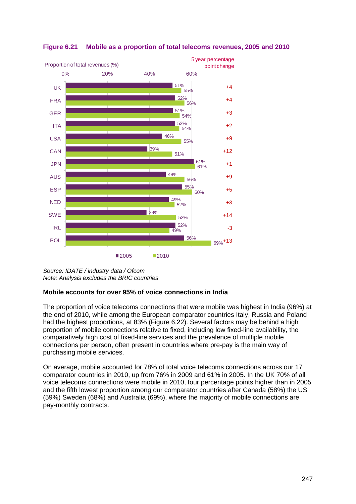

## <span id="page-30-0"></span>**Figure 6.21 Mobile as a proportion of total telecoms revenues, 2005 and 2010**

*Source: IDATE / industry data / Ofcom Note: Analysis excludes the BRIC countries*

#### **Mobile accounts for over 95% of voice connections in India**

The proportion of voice telecoms connections that were mobile was highest in India (96%) at the end of 2010, while among the European comparator countries Italy, Russia and Poland had the highest proportions, at 83% [\(Figure 6.22\)](#page-31-1). Several factors may be behind a high proportion of mobile connections relative to fixed, including low fixed-line availability, the comparatively high cost of fixed-line services and the prevalence of multiple mobile connections per person, often present in countries where pre-pay is the main way of purchasing mobile services.

On average, mobile accounted for 78% of total voice telecoms connections across our 17 comparator countries in 2010, up from 76% in 2009 and 61% in 2005. In the UK 70% of all voice telecoms connections were mobile in 2010, four percentage points higher than in 2005 and the fifth lowest proportion among our comparator countries after Canada (58%) the US (59%) Sweden (68%) and Australia (69%), where the majority of mobile connections are pay-monthly contracts.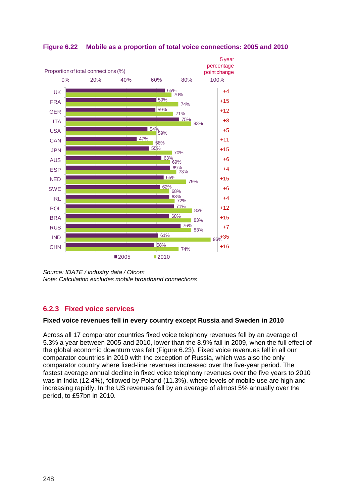

<span id="page-31-1"></span>**Figure 6.22 Mobile as a proportion of total voice connections: 2005 and 2010**

*Source: IDATE / industry data / Ofcom Note: Calculation excludes mobile broadband connections*

# <span id="page-31-0"></span>**6.2.3 Fixed voice services**

# **Fixed voice revenues fell in every country except Russia and Sweden in 2010**

Across all 17 comparator countries fixed voice telephony revenues fell by an average of 5.3% a year between 2005 and 2010, lower than the 8.9% fall in 2009, when the full effect of the global economic downturn was felt [\(Figure 6.23\)](#page-32-0). Fixed voice revenues fell in all our comparator countries in 2010 with the exception of Russia, which was also the only comparator country where fixed-line revenues increased over the five-year period. The fastest average annual decline in fixed voice telephony revenues over the five years to 2010 was in India (12.4%), followed by Poland (11.3%), where levels of mobile use are high and increasing rapidly. In the US revenues fell by an average of almost 5% annually over the period, to £57bn in 2010.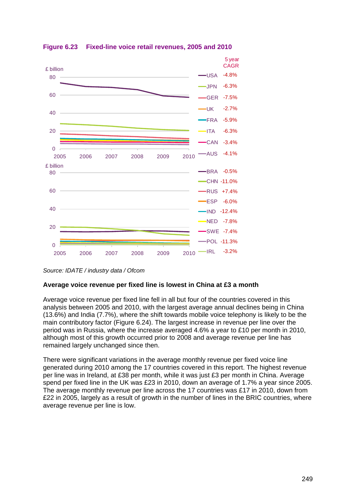

<span id="page-32-0"></span>**Figure 6.23 Fixed-line voice retail revenues, 2005 and 2010**

#### **Average voice revenue per fixed line is lowest in China at £3 a month**

Average voice revenue per fixed line fell in all but four of the countries covered in this analysis between 2005 and 2010, with the largest average annual declines being in China (13.6%) and India (7.7%), where the shift towards mobile voice telephony is likely to be the main contributory factor [\(Figure 6.24\)](#page-33-0). The largest increase in revenue per line over the period was in Russia, where the increase averaged 4.6% a year to £10 per month in 2010, although most of this growth occurred prior to 2008 and average revenue per line has remained largely unchanged since then.

There were significant variations in the average monthly revenue per fixed voice line generated during 2010 among the 17 countries covered in this report. The highest revenue per line was in Ireland, at £38 per month, while it was just £3 per month in China. Average spend per fixed line in the UK was £23 in 2010, down an average of 1.7% a year since 2005. The average monthly revenue per line across the 17 countries was £17 in 2010, down from £22 in 2005, largely as a result of growth in the number of lines in the BRIC countries, where average revenue per line is low.

*Source: IDATE / industry data / Ofcom*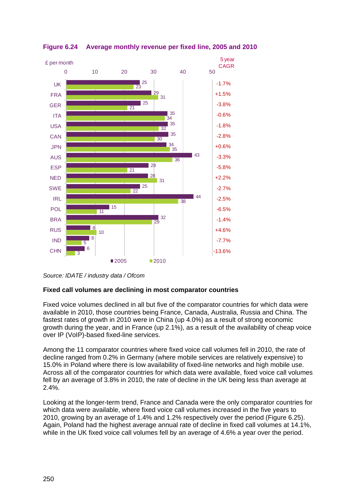

<span id="page-33-0"></span>**Figure 6.24 Average monthly revenue per fixed line, 2005 and 2010**

# **Fixed call volumes are declining in most comparator countries**

Fixed voice volumes declined in all but five of the comparator countries for which data were available in 2010, those countries being France, Canada, Australia, Russia and China. The fastest rates of growth in 2010 were in China (up 4.0%) as a result of strong economic growth during the year, and in France (up 2.1%), as a result of the availability of cheap voice over IP (VoIP)-based fixed-line services.

Among the 11 comparator countries where fixed voice call volumes fell in 2010, the rate of decline ranged from 0.2% in Germany (where mobile services are relatively expensive) to 15.0% in Poland where there is low availability of fixed-line networks and high mobile use. Across all of the comparator countries for which data were available, fixed voice call volumes fell by an average of 3.8% in 2010, the rate of decline in the UK being less than average at 2.4%.

Looking at the longer-term trend, France and Canada were the only comparator countries for which data were available, where fixed voice call volumes increased in the five years to 2010, growing by an average of 1.4% and 1.2% respectively over the period [\(Figure 6.25\)](#page-34-0). Again, Poland had the highest average annual rate of decline in fixed call volumes at 14.1%, while in the UK fixed voice call volumes fell by an average of 4.6% a year over the period.

*Source: IDATE / industry data / Ofcom*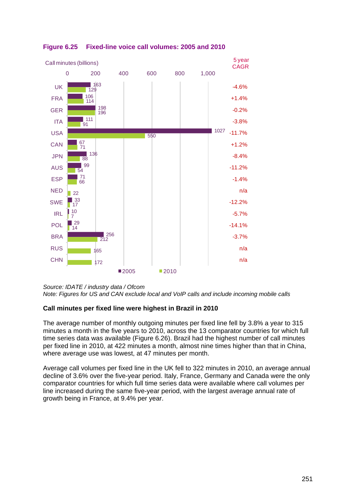

# <span id="page-34-0"></span>**Figure 6.25 Fixed-line voice call volumes: 2005 and 2010**

*Source: IDATE / industry data / Ofcom Note: Figures for US and CAN exclude local and VoIP calls and include incoming mobile calls*

# **Call minutes per fixed line were highest in Brazil in 2010**

The average number of monthly outgoing minutes per fixed line fell by 3.8% a year to 315 minutes a month in the five years to 2010, across the 13 comparator countries for which full time series data was available [\(Figure 6.26\)](#page-35-0). Brazil had the highest number of call minutes per fixed line in 2010, at 422 minutes a month, almost nine times higher than that in China, where average use was lowest, at 47 minutes per month.

Average call volumes per fixed line in the UK fell to 322 minutes in 2010, an average annual decline of 3.6% over the five-year period. Italy, France, Germany and Canada were the only comparator countries for which full time series data were available where call volumes per line increased during the same five-year period, with the largest average annual rate of growth being in France, at 9.4% per year.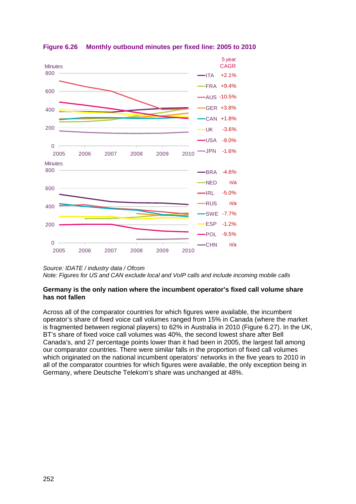

<span id="page-35-0"></span>**Figure 6.26 Monthly outbound minutes per fixed line: 2005 to 2010**

*Note: Figures for US and CAN exclude local and VoIP calls and include incoming mobile calls*

#### **Germany is the only nation where the incumbent operator's fixed call volume share has not fallen**

Across all of the comparator countries for which figures were available, the incumbent operator's share of fixed voice call volumes ranged from 15% in Canada (where the market is fragmented between regional players) to 62% in Australia in 2010 [\(Figure 6.27\)](#page-36-0). In the UK, BT's share of fixed voice call volumes was 40%, the second lowest share after Bell Canada's, and 27 percentage points lower than it had been in 2005, the largest fall among our comparator countries. There were similar falls in the proportion of fixed call volumes which originated on the national incumbent operators' networks in the five years to 2010 in all of the comparator countries for which figures were available, the only exception being in Germany, where Deutsche Telekom's share was unchanged at 48%.

*Source: IDATE / industry data / Ofcom*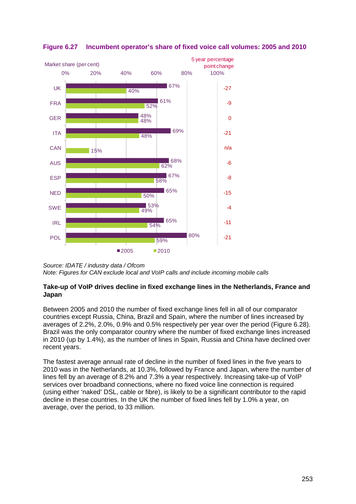

## **Figure 6.27 Incumbent operator's share of fixed voice call volumes: 2005 and 2010**

### **Take-up of VoIP drives decline in fixed exchange lines in the Netherlands, France and Japan**

Between 2005 and 2010 the number of fixed exchange lines fell in all of our comparator countries except Russia, China, Brazil and Spain, where the number of lines increased by averages of 2.2%, 2.0%, 0.9% and 0.5% respectively per year over the period [\(Figure 6.28\)](#page-37-0). Brazil was the only comparator country where the number of fixed exchange lines increased in 2010 (up by 1.4%), as the number of lines in Spain, Russia and China have declined over recent years.

The fastest average annual rate of decline in the number of fixed lines in the five years to 2010 was in the Netherlands, at 10.3%, followed by France and Japan, where the number of lines fell by an average of 8.2% and 7.3% a year respectively. Increasing take-up of VoIP services over broadband connections, where no fixed voice line connection is required (using either 'naked' DSL, cable or fibre), is likely to be a significant contributor to the rapid decline in these countries. In the UK the number of fixed lines fell by 1.0% a year, on average, over the period, to 33 million.

*Source: IDATE / industry data / Ofcom Note: Figures for CAN exclude local and VoIP calls and include incoming mobile calls*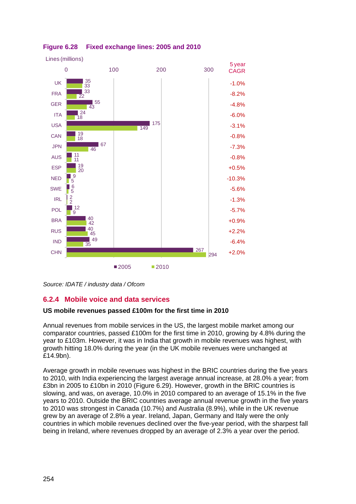

## <span id="page-37-0"></span>**Figure 6.28 Fixed exchange lines: 2005 and 2010**

## **6.2.4 Mobile voice and data services**

#### **US mobile revenues passed £100m for the first time in 2010**

Annual revenues from mobile services in the US, the largest mobile market among our comparator countries, passed £100m for the first time in 2010, growing by 4.8% during the year to £103m. However, it was in India that growth in mobile revenues was highest, with growth hitting 18.0% during the year (in the UK mobile revenues were unchanged at £14.9bn).

Average growth in mobile revenues was highest in the BRIC countries during the five years to 2010, with India experiencing the largest average annual increase, at 28.0% a year; from £3bn in 2005 to £10bn in 2010 [\(Figure 6.29\)](#page-38-0). However, growth in the BRIC countries is slowing, and was, on average, 10.0% in 2010 compared to an average of 15.1% in the five years to 2010. Outside the BRIC countries average annual revenue growth in the five years to 2010 was strongest in Canada (10.7%) and Australia (8.9%), while in the UK revenue grew by an average of 2.8% a year. Ireland, Japan, Germany and Italy were the only countries in which mobile revenues declined over the five-year period, with the sharpest fall being in Ireland, where revenues dropped by an average of 2.3% a year over the period.

*Source: IDATE / industry data / Ofcom*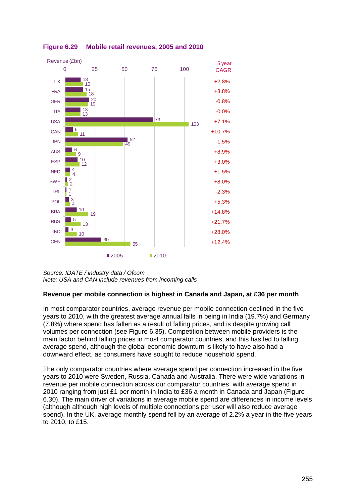

<span id="page-38-0"></span>

### **Revenue per mobile connection is highest in Canada and Japan, at £36 per month**

In most comparator countries, average revenue per mobile connection declined in the five years to 2010, with the greatest average annual falls in being in India (19.7%) and Germany (7.8%) where spend has fallen as a result of falling prices, and is despite growing call volumes per connection (see [Figure 6.35\)](#page-44-0). Competition between mobile providers is the main factor behind falling prices in most comparator countries, and this has led to falling average spend, although the global economic downturn is likely to have also had a downward effect, as consumers have sought to reduce household spend.

The only comparator countries where average spend per connection increased in the five years to 2010 were Sweden, Russia, Canada and Australia. There were wide variations in revenue per mobile connection across our comparator countries, with average spend in 2010 ranging from just £1 per month in India to £36 a month in Canada and Japan [\(Figure](#page-39-0)  [6.30\)](#page-39-0). The main driver of variations in average mobile spend are differences in income levels (although although high levels of multiple connections per user will also reduce average spend). In the UK, average monthly spend fell by an average of 2.2% a year in the five years to 2010, to £15.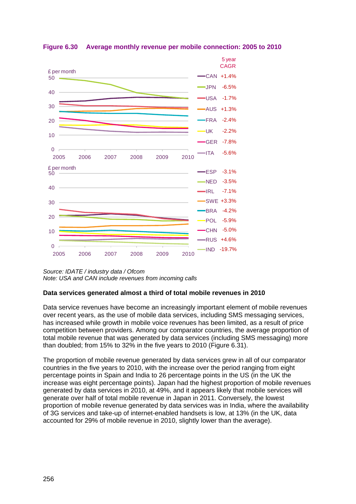

<span id="page-39-0"></span>**Figure 6.30 Average monthly revenue per mobile connection: 2005 to 2010**

### **Data services generated almost a third of total mobile revenues in 2010**

Data service revenues have become an increasingly important element of mobile revenues over recent years, as the use of mobile data services, including SMS messaging services, has increased while growth in mobile voice revenues has been limited, as a result of price competition between providers. Among our comparator countries, the average proportion of total mobile revenue that was generated by data services (including SMS messaging) more than doubled; from 15% to 32% in the five years to 2010 [\(Figure 6.31\)](#page-40-0).

The proportion of mobile revenue generated by data services grew in all of our comparator countries in the five years to 2010, with the increase over the period ranging from eight percentage points in Spain and India to 26 percentage points in the US (in the UK the increase was eight percentage points). Japan had the highest proportion of mobile revenues generated by data services in 2010, at 49%, and it appears likely that mobile services will generate over half of total mobile revenue in Japan in 2011. Conversely, the lowest proportion of mobile revenue generated by data services was in India, where the availability of 3G services and take-up of internet-enabled handsets is low, at 13% (in the UK, data accounted for 29% of mobile revenue in 2010, slightly lower than the average).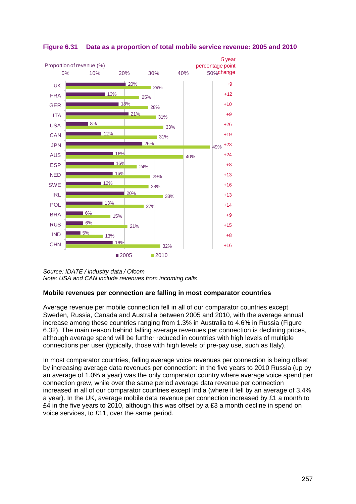

<span id="page-40-0"></span>**Figure 6.31 Data as a proportion of total mobile service revenue: 2005 and 2010**

### **Mobile revenues per connection are falling in most comparator countries**

Average revenue per mobile connection fell in all of our comparator countries except Sweden, Russia, Canada and Australia between 2005 and 2010, with the average annual increase among these countries ranging from 1.3% in Australia to 4.6% in Russia [\(Figure](#page-41-0)  [6.32\)](#page-41-0). The main reason behind falling average revenues per connection is declining prices, although average spend will be further reduced in countries with high levels of multiple connections per user (typically, those with high levels of pre-pay use, such as Italy).

In most comparator countries, falling average voice revenues per connection is being offset by increasing average data revenues per connection: in the five years to 2010 Russia (up by an average of 1.0% a year) was the only comparator country where average voice spend per connection grew, while over the same period average data revenue per connection increased in all of our comparator countries except India (where it fell by an average of 3.4% a year). In the UK, average mobile data revenue per connection increased by £1 a month to £4 in the five years to 2010, although this was offset by a £3 a month decline in spend on voice services, to £11, over the same period.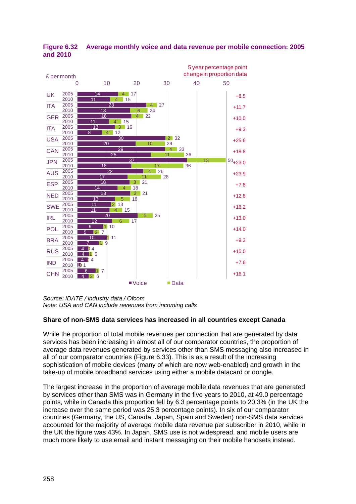

<span id="page-41-0"></span>**Figure 6.32 Average monthly voice and data revenue per mobile connection: 2005 and 2010**

## **Share of non-SMS data services has increased in all countries except Canada**

While the proportion of total mobile revenues per connection that are generated by data services has been increasing in almost all of our comparator countries, the proportion of average data revenues generated by services other than SMS messaging also increased in all of our comparator countries [\(Figure 6.33\)](#page-42-0). This is as a result of the increasing sophistication of mobile devices (many of which are now web-enabled) and growth in the take-up of mobile broadband services using either a mobile datacard or dongle.

The largest increase in the proportion of average mobile data revenues that are generated by services other than SMS was in Germany in the five years to 2010, at 49.0 percentage points, while in Canada this proportion fell by 6.3 percentage points to 20.3% (in the UK the increase over the same period was 25.3 percentage points). In six of our comparator countries (Germany, the US, Canada, Japan, Spain and Sweden) non-SMS data services accounted for the majority of average mobile data revenue per subscriber in 2010, while in the UK the figure was 43%. In Japan, SMS use is not widespread, and mobile users are much more likely to use email and instant messaging on their mobile handsets instead.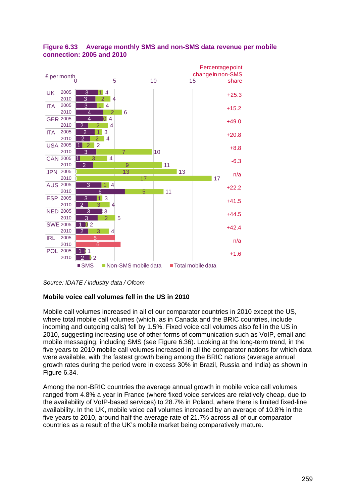

## <span id="page-42-0"></span>**Figure 6.33 Average monthly SMS and non-SMS data revenue per mobile connection: 2005 and 2010**

*Source: IDATE / industry data / Ofcom*

## **Mobile voice call volumes fell in the US in 2010**

Mobile call volumes increased in all of our comparator countries in 2010 except the US, where total mobile call volumes (which, as in Canada and the BRIC countries, include incoming and outgoing calls) fell by 1.5%. Fixed voice call volumes also fell in the US in 2010, suggesting increasing use of other forms of communication such as VoIP, email and mobile messaging, including SMS (see [Figure 6.36\)](#page-45-0). Looking at the long-term trend, in the five years to 2010 mobile call volumes increased in all the comparator nations for which data were available, with the fastest growth being among the BRIC nations (average annual growth rates during the period were in excess 30% in Brazil, Russia and India) as shown in [Figure 6.34.](#page-43-0)

Among the non-BRIC countries the average annual growth in mobile voice call volumes ranged from 4.8% a year in France (where fixed voice services are relatively cheap, due to the availability of VoIP-based services) to 28.7% in Poland, where there is limited fixed-line availability. In the UK, mobile voice call volumes increased by an average of 10.8% in the five years to 2010, around half the average rate of 21.7% across all of our comparator countries as a result of the UK's mobile market being comparatively mature.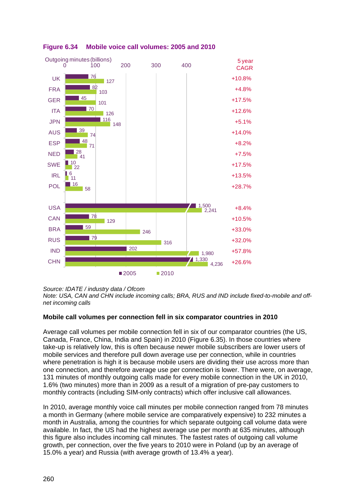

<span id="page-43-0"></span>

## **Mobile call volumes per connection fell in six comparator countries in 2010**

Average call volumes per mobile connection fell in six of our comparator countries (the US, Canada, France, China, India and Spain) in 2010 [\(Figure 6.35\)](#page-44-0). In those countries where take-up is relatively low, this is often because newer mobile subscribers are lower users of mobile services and therefore pull down average use per connection, while in countries where penetration is high it is because mobile users are dividing their use across more than one connection, and therefore average use per connection is lower. There were, on average, 131 minutes of monthly outgoing calls made for every mobile connection in the UK in 2010, 1.6% (two minutes) more than in 2009 as a result of a migration of pre-pay customers to monthly contracts (including SIM-only contracts) which offer inclusive call allowances.

In 2010, average monthly voice call minutes per mobile connection ranged from 78 minutes a month in Germany (where mobile service are comparatively expensive) to 232 minutes a month in Australia, among the countries for which separate outgoing call volume data were available. In fact, the US had the highest average use per month at 635 minutes, although this figure also includes incoming call minutes. The fastest rates of outgoing call volume growth, per connection, over the five years to 2010 were in Poland (up by an average of 15.0% a year) and Russia (with average growth of 13.4% a year).

*Source: IDATE / industry data / Ofcom*

*Note: USA, CAN and CHN include incoming calls; BRA, RUS and IND include fixed-to-mobile and offnet incoming calls*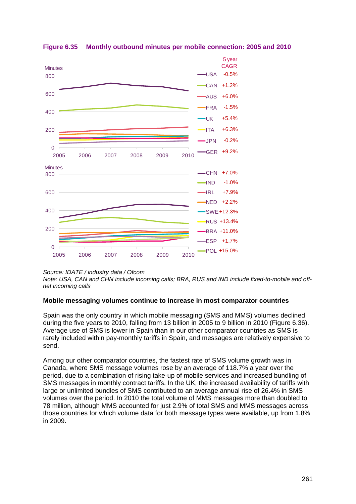

## <span id="page-44-0"></span>**Figure 6.35 Monthly outbound minutes per mobile connection: 2005 and 2010**

*Source: IDATE / industry data / Ofcom*

*Note: USA, CAN and CHN include incoming calls; BRA, RUS and IND include fixed-to-mobile and offnet incoming calls*

### **Mobile messaging volumes continue to increase in most comparator countries**

Spain was the only country in which mobile messaging (SMS and MMS) volumes declined during the five years to 2010, falling from 13 billion in 2005 to 9 billion in 2010 [\(Figure 6.36\)](#page-45-0). Average use of SMS is lower in Spain than in our other comparator countries as SMS is rarely included within pay-monthly tariffs in Spain, and messages are relatively expensive to send.

Among our other comparator countries, the fastest rate of SMS volume growth was in Canada, where SMS message volumes rose by an average of 118.7% a year over the period, due to a combination of rising take-up of mobile services and increased bundling of SMS messages in monthly contract tariffs. In the UK, the increased availability of tariffs with large or unlimited bundles of SMS contributed to an average annual rise of 26.4% in SMS volumes over the period. In 2010 the total volume of MMS messages more than doubled to 78 million, although MMS accounted for just 2.9% of total SMS and MMS messages across those countries for which volume data for both message types were available, up from 1.8% in 2009.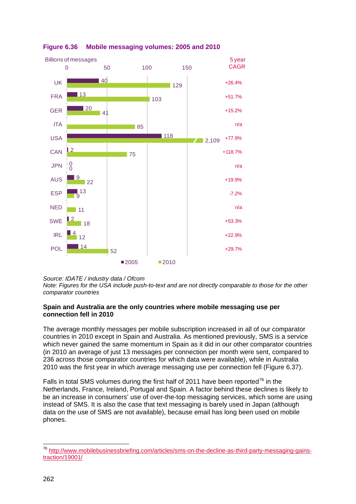

# <span id="page-45-0"></span>**Figure 6.36 Mobile messaging volumes: 2005 and 2010**

*Source: IDATE / industry data / Ofcom*

*Note: Figures for the USA include push-to-text and are not directly comparable to those for the other comparator countries*

#### **Spain and Australia are the only countries where mobile messaging use per connection fell in 2010**

The average monthly messages per mobile subscription increased in all of our comparator countries in 2010 except in Spain and Australia. As mentioned previously, SMS is a service which never gained the same momentum in Spain as it did in our other comparator countries (in 2010 an average of just 13 messages per connection per month were sent, compared to 236 across those comparator countries for which data were available), while in Australia 2010 was the first year in which average messaging use per connection fell [\(Figure 6.37\)](#page-46-0).

Falls in total SMS volumes during the first half of 2011 have been reported<sup>[76](#page-45-1)</sup> in the Netherlands, France, Ireland, Portugal and Spain. A factor behind these declines is likely to be an increase in consumers' use of over-the-top messaging services, which some are using instead of SMS. It is also the case that text messaging is barely used in Japan (although data on the use of SMS are not available), because email has long been used on mobile phones.

<span id="page-45-1"></span> <sup>76</sup> [http://www.mobilebusinessbriefing.com/articles/sms-on-the-decline-as-third-party-messaging-gains](http://www.mobilebusinessbriefing.com/articles/sms-on-the-decline-as-third-party-messaging-gains-traction/19001/)[traction/19001/](http://www.mobilebusinessbriefing.com/articles/sms-on-the-decline-as-third-party-messaging-gains-traction/19001/)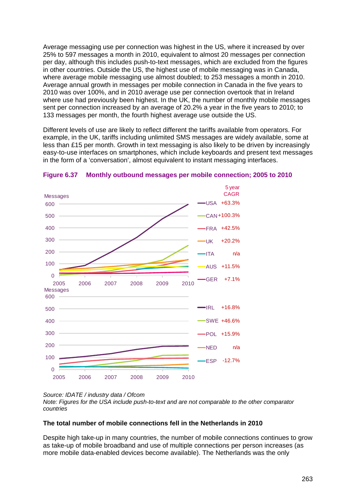Average messaging use per connection was highest in the US, where it increased by over 25% to 597 messages a month in 2010, equivalent to almost 20 messages per connection per day, although this includes push-to-text messages, which are excluded from the figures in other countries. Outside the US, the highest use of mobile messaging was in Canada, where average mobile messaging use almost doubled; to 253 messages a month in 2010. Average annual growth in messages per mobile connection in Canada in the five years to 2010 was over 100%, and in 2010 average use per connection overtook that in Ireland where use had previously been highest. In the UK, the number of monthly mobile messages sent per connection increased by an average of 20.2% a year in the five years to 2010; to 133 messages per month, the fourth highest average use outside the US.

Different levels of use are likely to reflect different the tariffs available from operators. For example, in the UK, tariffs including unlimited SMS messages are widely available, some at less than £15 per month. Growth in text messaging is also likely to be driven by increasingly easy-to-use interfaces on smartphones, which include keyboards and present text messages in the form of a 'conversation', almost equivalent to instant messaging interfaces.



#### <span id="page-46-0"></span>**Figure 6.37 Monthly outbound messages per mobile connection; 2005 to 2010**

*Source: IDATE / industry data / Ofcom*

*Note: Figures for the USA include push-to-text and are not comparable to the other comparator countries*

#### **The total number of mobile connections fell in the Netherlands in 2010**

Despite high take-up in many countries, the number of mobile connections continues to grow as take-up of mobile broadband and use of multiple connections per person increases (as more mobile data-enabled devices become available). The Netherlands was the only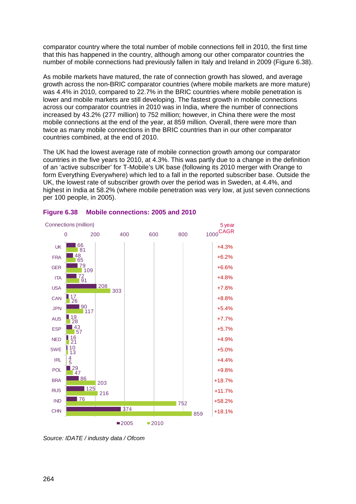comparator country where the total number of mobile connections fell in 2010, the first time that this has happened in the country, although among our other comparator countries the number of mobile connections had previously fallen in Italy and Ireland in 2009 [\(Figure 6.38\)](#page-47-0).

As mobile markets have matured, the rate of connection growth has slowed, and average growth across the non-BRIC comparator countries (where mobile markets are more mature) was 4.4% in 2010, compared to 22.7% in the BRIC countries where mobile penetration is lower and mobile markets are still developing. The fastest growth in mobile connections across our comparator countries in 2010 was in India, where the number of connections increased by 43.2% (277 million) to 752 million; however, in China there were the most mobile connections at the end of the year, at 859 million. Overall, there were more than twice as many mobile connections in the BRIC countries than in our other comparator countries combined, at the end of 2010.

The UK had the lowest average rate of mobile connection growth among our comparator countries in the five years to 2010, at 4.3%. This was partly due to a change in the definition of an 'active subscriber' for T-Mobile's UK base (following its 2010 merger with Orange to form Everything Everywhere) which led to a fall in the reported subscriber base. Outside the UK, the lowest rate of subscriber growth over the period was in Sweden, at 4.4%, and highest in India at 58.2% (where mobile penetration was very low, at just seven connections per 100 people, in 2005).



### <span id="page-47-0"></span>**Figure 6.38 Mobile connections: 2005 and 2010**

*Source: IDATE / industry data / Ofcom*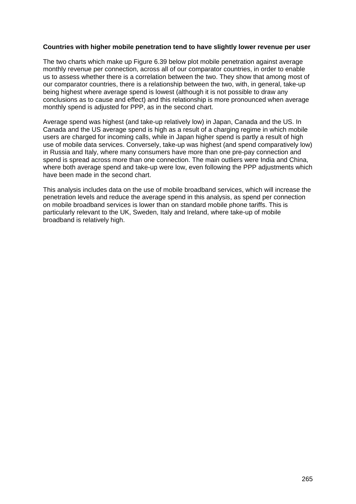#### **Countries with higher mobile penetration tend to have slightly lower revenue per user**

The two charts which make up [Figure 6.39](#page-49-0) below plot mobile penetration against average monthly revenue per connection, across all of our comparator countries, in order to enable us to assess whether there is a correlation between the two. They show that among most of our comparator countries, there is a relationship between the two, with, in general, take-up being highest where average spend is lowest (although it is not possible to draw any conclusions as to cause and effect) and this relationship is more pronounced when average monthly spend is adjusted for PPP, as in the second chart.

Average spend was highest (and take-up relatively low) in Japan, Canada and the US. In Canada and the US average spend is high as a result of a charging regime in which mobile users are charged for incoming calls, while in Japan higher spend is partly a result of high use of mobile data services. Conversely, take-up was highest (and spend comparatively low) in Russia and Italy, where many consumers have more than one pre-pay connection and spend is spread across more than one connection. The main outliers were India and China, where both average spend and take-up were low, even following the PPP adjustments which have been made in the second chart.

This analysis includes data on the use of mobile broadband services, which will increase the penetration levels and reduce the average spend in this analysis, as spend per connection on mobile broadband services is lower than on standard mobile phone tariffs. This is particularly relevant to the UK, Sweden, Italy and Ireland, where take-up of mobile broadband is relatively high.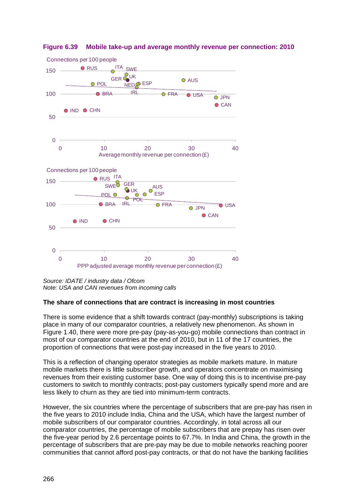

### <span id="page-49-0"></span>**Figure 6.39 Mobile take-up and average monthly revenue per connection: 2010**

*Source: IDATE / industry data / Ofcom Note: USA and CAN revenues from incoming calls*

### **The share of connections that are contract is increasing in most countries**

There is some evidence that a shift towards contract (pay-monthly) subscriptions is taking place in many of our comparator countries, a relatively new phenomenon. As shown in Figure 1.40, there were more pre-pay (pay-as-you-go) mobile connections than contract in most of our comparator countries at the end of 2010, but in 11 of the 17 countries, the proportion of connections that were post-pay increased in the five years to 2010.

This is a reflection of changing operator strategies as mobile markets mature. In mature mobile markets there is little subscriber growth, and operators concentrate on maximising revenues from their existing customer base. One way of doing this is to incentivise pre-pay customers to switch to monthly contracts; post-pay customers typically spend more and are less likely to churn as they are tied into minimum-term contracts.

However, the six countries where the percentage of subscribers that are pre-pay has risen in the five years to 2010 include India, China and the USA, which have the largest number of mobile subscribers of our comparator countries. Accordingly, in total across all our comparator countries, the percentage of mobile subscribers that are prepay has risen over the five-year period by 2.6 percentage points to 67.7%. In India and China, the growth in the percentage of subscribers that are pre-pay may be due to mobile networks reaching poorer communities that cannot afford post-pay contracts, or that do not have the banking facilities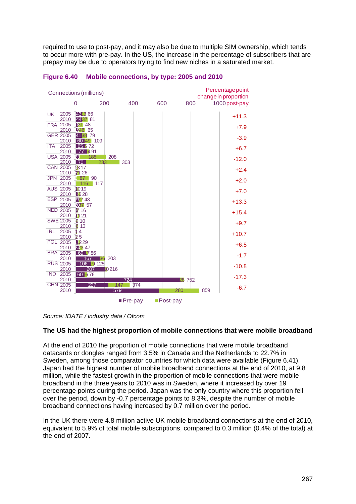required to use to post-pay, and it may also be due to multiple SIM ownership, which tends to occur more with pre-pay. In the US, the increase in the percentage of subscribers that are prepay may be due to operators trying to find new niches in a saturated market.



#### **Figure 6.40 Mobile connections, by type: 2005 and 2010**

*Source: IDATE / industry data / Ofcom*

### **The US had the highest proportion of mobile connections that were mobile broadband**

At the end of 2010 the proportion of mobile connections that were mobile broadband datacards or dongles ranged from 3.5% in Canada and the Netherlands to 22.7% in Sweden, among those comparator countries for which data were available [\(Figure 6.41\)](#page-51-0). Japan had the highest number of mobile broadband connections at the end of 2010, at 9.8 million, while the fastest growth in the proportion of mobile connections that were mobile broadband in the three years to 2010 was in Sweden, where it increased by over 19 percentage points during the period. Japan was the only country where this proportion fell over the period, down by -0.7 percentage points to 8.3%, despite the number of mobile broadband connections having increased by 0.7 million over the period.

In the UK there were 4.8 million active UK mobile broadband connections at the end of 2010, equivalent to 5.9% of total mobile subscriptions, compared to 0.3 million (0.4% of the total) at the end of 2007.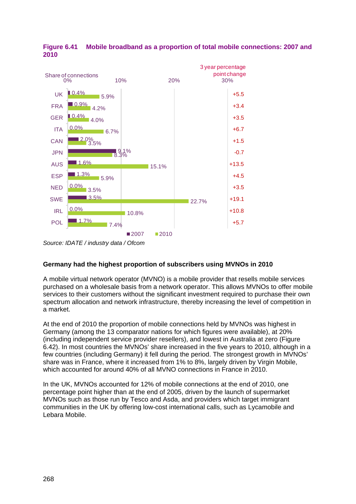

<span id="page-51-0"></span>**Figure 6.41 Mobile broadband as a proportion of total mobile connections: 2007 and 2010**

*Source: IDATE / industry data / Ofcom*

## **Germany had the highest proportion of subscribers using MVNOs in 2010**

A mobile virtual network operator (MVNO) is a mobile provider that resells mobile services purchased on a wholesale basis from a network operator. This allows MVNOs to offer mobile services to their customers without the significant investment required to purchase their own spectrum allocation and network infrastructure, thereby increasing the level of competition in a market.

At the end of 2010 the proportion of mobile connections held by MVNOs was highest in Germany (among the 13 comparator nations for which figures were available), at 20% (including independent service provider resellers), and lowest in Australia at zero [\(Figure](#page-52-0)  [6.42\)](#page-52-0). In most countries the MVNOs' share increased in the five years to 2010, although in a few countries (including Germany) it fell during the period. The strongest growth in MVNOs' share was in France, where it increased from 1% to 8%, largely driven by Virgin Mobile, which accounted for around 40% of all MVNO connections in France in 2010.

In the UK, MVNOs accounted for 12% of mobile connections at the end of 2010, one percentage point higher than at the end of 2005, driven by the launch of supermarket MVNOs such as those run by Tesco and Asda, and providers which target immigrant communities in the UK by offering low-cost international calls, such as Lycamobile and Lebara Mobile.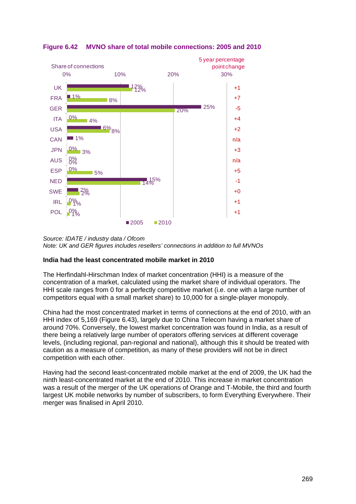

## <span id="page-52-0"></span>**Figure 6.42 MVNO share of total mobile connections: 2005 and 2010**

*Source: IDATE / industry data / Ofcom Note: UK and GER figures includes resellers' connections in addition to full MVNOs*

### **India had the least concentrated mobile market in 2010**

The Herfindahl-Hirschman Index of market concentration (HHI) is a measure of the concentration of a market, calculated using the market share of individual operators. The HHI scale ranges from 0 for a perfectly competitive market (i.e. one with a large number of competitors equal with a small market share) to 10,000 for a single-player monopoly.

China had the most concentrated market in terms of connections at the end of 2010, with an HHI index of 5,169 [\(Figure 6.43\)](#page-53-0), largely due to China Telecom having a market share of around 70%. Conversely, the lowest market concentration was found in India, as a result of there being a relatively large number of operators offering services at different coverage levels, (including regional, pan-regional and national), although this it should be treated with caution as a measure of competition, as many of these providers will not be in direct competition with each other.

Having had the second least-concentrated mobile market at the end of 2009, the UK had the ninth least-concentrated market at the end of 2010. This increase in market concentration was a result of the merger of the UK operations of Orange and T-Mobile, the third and fourth largest UK mobile networks by number of subscribers, to form Everything Everywhere. Their merger was finalised in April 2010.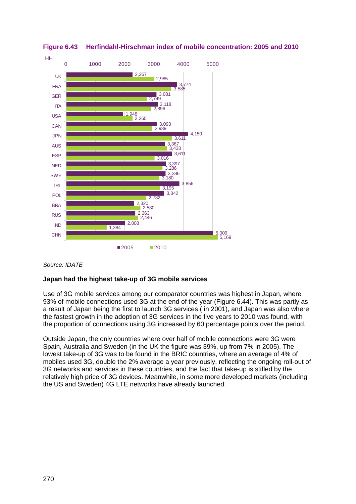

<span id="page-53-0"></span>**Figure 6.43 Herfindahl-Hirschman index of mobile concentration: 2005 and 2010**

### *Source: IDATE*

## **Japan had the highest take-up of 3G mobile services**

Use of 3G mobile services among our comparator countries was highest in Japan, where 93% of mobile connections used 3G at the end of the year [\(Figure 6.44\)](#page-54-0). This was partly as a result of Japan being the first to launch 3G services ( in 2001), and Japan was also where the fastest growth in the adoption of 3G services in the five years to 2010 was found, with the proportion of connections using 3G increased by 60 percentage points over the period.

Outside Japan, the only countries where over half of mobile connections were 3G were Spain, Australia and Sweden (in the UK the figure was 39%, up from 7% in 2005). The lowest take-up of 3G was to be found in the BRIC countries, where an average of 4% of mobiles used 3G, double the 2% average a year previously, reflecting the ongoing roll-out of 3G networks and services in these countries, and the fact that take-up is stifled by the relatively high price of 3G devices. Meanwhile, in some more developed markets (including the US and Sweden) 4G LTE networks have already launched.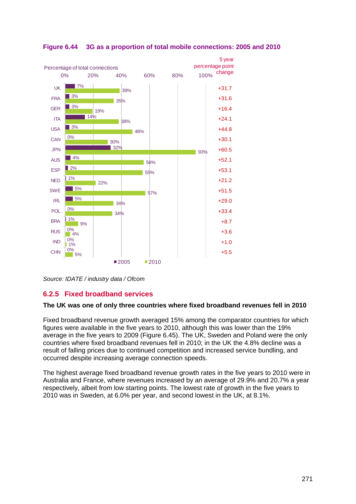

<span id="page-54-0"></span>**Figure 6.44 3G as a proportion of total mobile connections: 2005 and 2010**

*Source: IDATE / industry data / Ofcom*

# **6.2.5 Fixed broadband services**

## **The UK was one of only three countries where fixed broadband revenues fell in 2010**

Fixed broadband revenue growth averaged 15% among the comparator countries for which figures were available in the five years to 2010, although this was lower than the 19% average in the five years to 2009 [\(Figure 6.45\)](#page-55-0). The UK, Sweden and Poland were the only countries where fixed broadband revenues fell in 2010; in the UK the 4.8% decline was a result of falling prices due to continued competition and increased service bundling, and occurred despite increasing average connection speeds.

The highest average fixed broadband revenue growth rates in the five years to 2010 were in Australia and France, where revenues increased by an average of 29.9% and 20.7% a year respectively, albeit from low starting points. The lowest rate of growth in the five years to 2010 was in Sweden, at 6.0% per year, and second lowest in the UK, at 8.1%.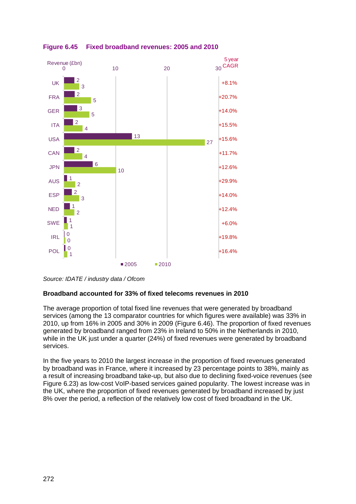

<span id="page-55-0"></span>**Figure 6.45 Fixed broadband revenues: 2005 and 2010**

*Source: IDATE / industry data / Ofcom*

### **Broadband accounted for 33% of fixed telecoms revenues in 2010**

The average proportion of total fixed line revenues that were generated by broadband services (among the 13 comparator countries for which figures were available) was 33% in 2010, up from 16% in 2005 and 30% in 2009 [\(Figure 6.46\)](#page-56-0). The proportion of fixed revenues generated by broadband ranged from 23% in Ireland to 50% in the Netherlands in 2010, while in the UK just under a quarter (24%) of fixed revenues were generated by broadband services.

In the five years to 2010 the largest increase in the proportion of fixed revenues generated by broadband was in France, where it increased by 23 percentage points to 38%, mainly as a result of increasing broadband take-up, but also due to declining fixed-voice revenues (see [Figure 6.23\)](#page-32-0) as low-cost VoIP-based services gained popularity. The lowest increase was in the UK, where the proportion of fixed revenues generated by broadband increased by just 8% over the period, a reflection of the relatively low cost of fixed broadband in the UK.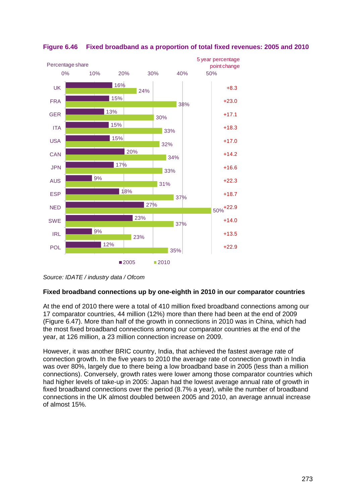

## <span id="page-56-0"></span>**Figure 6.46 Fixed broadband as a proportion of total fixed revenues: 2005 and 2010**

## **Fixed broadband connections up by one-eighth in 2010 in our comparator countries**

At the end of 2010 there were a total of 410 million fixed broadband connections among our 17 comparator countries, 44 million (12%) more than there had been at the end of 2009 [\(Figure 6.47\)](#page-57-0). More than half of the growth in connections in 2010 was in China, which had the most fixed broadband connections among our comparator countries at the end of the year, at 126 million, a 23 million connection increase on 2009.

However, it was another BRIC country, India, that achieved the fastest average rate of connection growth. In the five years to 2010 the average rate of connection growth in India was over 80%, largely due to there being a low broadband base in 2005 (less than a million connections). Conversely, growth rates were lower among those comparator countries which had higher levels of take-up in 2005: Japan had the lowest average annual rate of growth in fixed broadband connections over the period (8.7% a year), while the number of broadband connections in the UK almost doubled between 2005 and 2010, an average annual increase of almost 15%.

*Source: IDATE / industry data / Ofcom*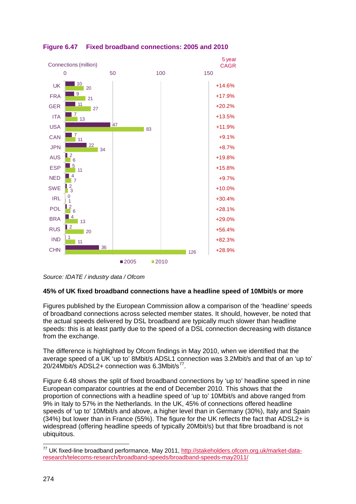

<span id="page-57-0"></span>**Figure 6.47 Fixed broadband connections: 2005 and 2010**

*Source: IDATE / industry data / Ofcom*

### **45% of UK fixed broadband connections have a headline speed of 10Mbit/s or more**

Figures published by the European Commission allow a comparison of the 'headline' speeds of broadband connections across selected member states. It should, however, be noted that the actual speeds delivered by DSL broadband are typically much slower than headline speeds: this is at least partly due to the speed of a DSL connection decreasing with distance from the exchange.

The difference is highlighted by Ofcom findings in May 2010, when we identified that the average speed of a UK 'up to' 8Mbit/s ADSL1 connection was 3.2Mbit/s and that of an 'up to' 20/24Mbit/s ADSL2+ connection was 6.3Mbit/s<sup>[77](#page-57-1)</sup>.

[Figure 6.48](#page-58-0) shows the split of fixed broadband connections by 'up to' headline speed in nine European comparator countries at the end of December 2010. This shows that the proportion of connections with a headline speed of 'up to' 10Mbit/s and above ranged from 9% in Italy to 57% in the Netherlands. In the UK, 45% of connections offered headline speeds of 'up to' 10Mbit/s and above, a higher level than in Germany (30%), Italy and Spain (34%) but lower than in France (55%). The figure for the UK reflects the fact that ADSL2+ is widespread (offering headline speeds of typically 20Mbit/s) but that fibre broadband is not ubiquitous.

<span id="page-57-1"></span><sup>&</sup>lt;sup>77</sup> UK fixed-line broadband performance, May 2011, [http://stakeholders.ofcom.org.uk/market-data](http://stakeholders.ofcom.org.uk/market-data-research/telecoms-research/broadband-speeds/broadband-speeds-may2011/)[research/telecoms-research/broadband-speeds/broadband-speeds-may2011/](http://stakeholders.ofcom.org.uk/market-data-research/telecoms-research/broadband-speeds/broadband-speeds-may2011/)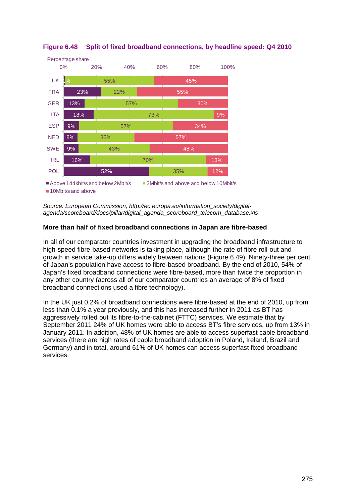

<span id="page-58-0"></span>

*Source: European Commission, http://ec.europa.eu/information\_society/digitalagenda/scoreboard/docs/pillar/digital\_agenda\_scoreboard\_telecom\_database.xls*

## **More than half of fixed broadband connections in Japan are fibre-based**

In all of our comparator countries investment in upgrading the broadband infrastructure to high-speed fibre-based networks is taking place, although the rate of fibre roll-out and growth in service take-up differs widely between nations [\(Figure 6.49\)](#page-59-0). Ninety-three per cent of Japan's population have access to fibre-based broadband. By the end of 2010, 54% of Japan's fixed broadband connections were fibre-based, more than twice the proportion in any other country (across all of our comparator countries an average of 8% of fixed broadband connections used a fibre technology).

In the UK just 0.2% of broadband connections were fibre-based at the end of 2010, up from less than 0.1% a year previously, and this has increased further in 2011 as BT has aggressively rolled out its fibre-to-the-cabinet (FTTC) services. We estimate that by September 2011 24% of UK homes were able to access BT's fibre services, up from 13% in January 2011. In addition, 48% of UK homes are able to access superfast cable broadband services (there are high rates of cable broadband adoption in Poland, Ireland, Brazil and Germany) and in total, around 61% of UK homes can access superfast fixed broadband services.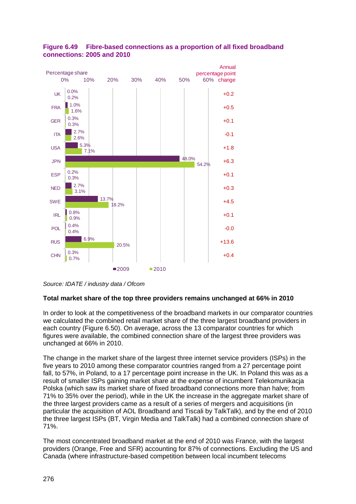

## <span id="page-59-0"></span>**Figure 6.49 Fibre-based connections as a proportion of all fixed broadband connections: 2005 and 2010**

### **Total market share of the top three providers remains unchanged at 66% in 2010**

In order to look at the competitiveness of the broadband markets in our comparator countries we calculated the combined retail market share of the three largest broadband providers in each country [\(Figure 6.50\)](#page-60-0). On average, across the 13 comparator countries for which figures were available, the combined connection share of the largest three providers was unchanged at 66% in 2010.

The change in the market share of the largest three internet service providers (ISPs) in the five years to 2010 among these comparator countries ranged from a 27 percentage point fall, to 57%, in Poland, to a 17 percentage point increase in the UK. In Poland this was as a result of smaller ISPs gaining market share at the expense of incumbent Telekomunikacja Polska (which saw its market share of fixed broadband connections more than halve; from 71% to 35% over the period), while in the UK the increase in the aggregate market share of the three largest providers came as a result of a series of mergers and acquisitions (in particular the acquisition of AOL Broadband and Tiscali by TalkTalk), and by the end of 2010 the three largest ISPs (BT, Virgin Media and TalkTalk) had a combined connection share of 71%.

The most concentrated broadband market at the end of 2010 was France, with the largest providers (Orange, Free and SFR) accounting for 87% of connections. Excluding the US and Canada (where infrastructure-based competition between local incumbent telecoms

*Source: IDATE / industry data / Ofcom*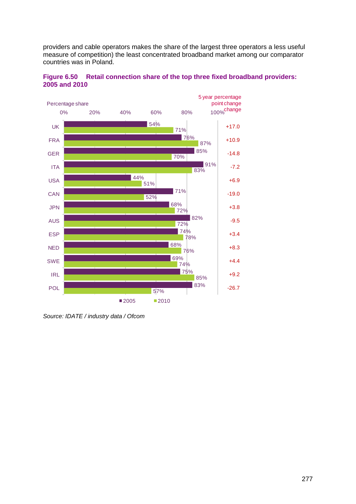providers and cable operators makes the share of the largest three operators a less useful measure of competition) the least concentrated broadband market among our comparator countries was in Poland.



<span id="page-60-0"></span>**Figure 6.50 Retail connection share of the top three fixed broadband providers: 2005 and 2010**

*Source: IDATE / industry data / Ofcom*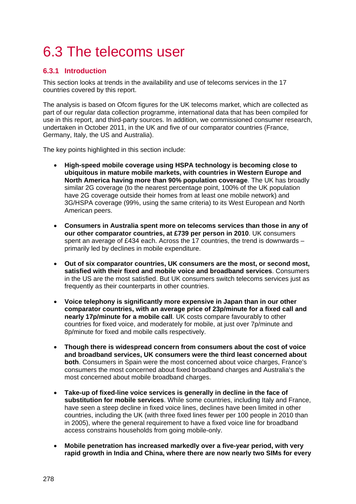# 6.3 The telecoms user

# **6.3.1 Introduction**

This section looks at trends in the availability and use of telecoms services in the 17 countries covered by this report.

The analysis is based on Ofcom figures for the UK telecoms market, which are collected as part of our regular data collection programme, international data that has been compiled for use in this report, and third-party sources. In addition, we commissioned consumer research, undertaken in October 2011, in the UK and five of our comparator countries (France, Germany, Italy, the US and Australia).

The key points highlighted in this section include:

- **High-speed mobile coverage using HSPA technology is becoming close to ubiquitous in mature mobile markets, with countries in Western Europe and North America having more than 90% population coverage**. The UK has broadly similar 2G coverage (to the nearest percentage point, 100% of the UK population have 2G coverage outside their homes from at least one mobile network) and 3G/HSPA coverage (99%, using the same criteria) to its West European and North American peers.
- **Consumers in Australia spent more on telecoms services than those in any of our other comparator countries, at £739 per person in 2010**. UK consumers spent an average of £434 each. Across the 17 countries, the trend is downwards – primarily led by declines in mobile expenditure.
- **Out of six comparator countries, UK consumers are the most, or second most, satisfied with their fixed and mobile voice and broadband services**. Consumers in the US are the most satisfied. But UK consumers switch telecoms services just as frequently as their counterparts in other countries.
- **Voice telephony is significantly more expensive in Japan than in our other comparator countries, with an average price of 23p/minute for a fixed call and nearly 17p/minute for a mobile call**. UK costs compare favourably to other countries for fixed voice, and moderately for mobile, at just over 7p/minute and 8p/minute for fixed and mobile calls respectively.
- **Though there is widespread concern from consumers about the cost of voice and broadband services, UK consumers were the third least concerned about both**. Consumers in Spain were the most concerned about voice charges, France's consumers the most concerned about fixed broadband charges and Australia's the most concerned about mobile broadband charges.
- **Take-up of fixed-line voice services is generally in decline in the face of substitution for mobile services**. While some countries, including Italy and France, have seen a steep decline in fixed voice lines, declines have been limited in other countries, including the UK (with three fixed lines fewer per 100 people in 2010 than in 2005), where the general requirement to have a fixed voice line for broadband access constrains households from going mobile-only.
- **Mobile penetration has increased markedly over a five-year period, with very rapid growth in India and China, where there are now nearly two SIMs for every**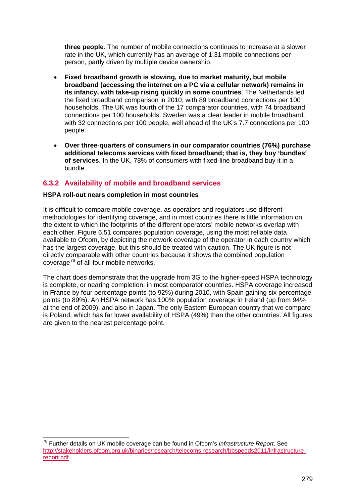**three people**. The number of mobile connections continues to increase at a slower rate in the UK, which currently has an average of 1.31 mobile connections per person, partly driven by multiple device ownership.

- **Fixed broadband growth is slowing, due to market maturity, but mobile broadband (accessing the internet on a PC via a cellular network) remains in its infancy, with take-up rising quickly in some countries**. The Netherlands led the fixed broadband comparison in 2010, with 89 broadband connections per 100 households. The UK was fourth of the 17 comparator countries, with 74 broadband connections per 100 households. Sweden was a clear leader in mobile broadband, with 32 connections per 100 people, well ahead of the UK's 7.7 connections per 100 people.
- **Over three-quarters of consumers in our comparator countries (76%) purchase additional telecoms services with fixed broadband; that is, they buy 'bundles' of services**. In the UK, 78% of consumers with fixed-line broadband buy it in a bundle.

# **6.3.2 Availability of mobile and broadband services**

### **HSPA roll-out nears completion in most countries**

It is difficult to compare mobile coverage, as operators and regulators use different methodologies for identifying coverage, and in most countries there is little information on the extent to which the footprints of the different operators' mobile networks overlap with each other. [Figure 6.51](#page-63-0) compares population coverage, using the most reliable data available to Ofcom, by depicting the network coverage of the operator in each country which has the largest coverage, but this should be treated with caution. The UK figure is not directly comparable with other countries because it shows the combined population coverage<sup>[78](#page-62-0)</sup> of all four mobile networks.

The chart does demonstrate that the upgrade from 3G to the higher-speed HSPA technology is complete, or nearing completion, in most comparator countries. HSPA coverage increased in France by four percentage points (to 92%) during 2010, with Spain gaining six percentage points (to 89%). An HSPA network has 100% population coverage in Ireland (up from 94% at the end of 2009), and also in Japan. The only Eastern European country that we compare is Poland, which has far lower availability of HSPA (49%) than the other countries. All figures are given to the nearest percentage point.

<span id="page-62-0"></span> <sup>78</sup> Further details on UK mobile coverage can be found in Ofcom's *Infrastructure Report*. See [http://stakeholders.ofcom.org.uk/binaries/research/telecoms-research/bbspeeds2011/infrastructure](http://stakeholders.ofcom.org.uk/binaries/research/telecoms-research/bbspeeds2011/infrastructure-report.pdf)[report.pdf](http://stakeholders.ofcom.org.uk/binaries/research/telecoms-research/bbspeeds2011/infrastructure-report.pdf)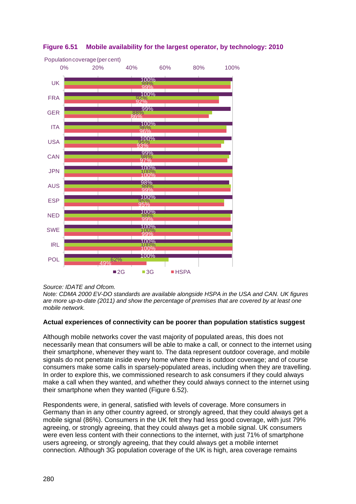

# <span id="page-63-0"></span>**Figure 6.51 Mobile availability for the largest operator, by technology: 2010**

### *Source: IDATE and Ofcom.*

*Note: CDMA 2000 EV-DO standards are available alongside HSPA in the USA and CAN. UK figures are more up-to-date (2011) and show the percentage of premises that are covered by at least one mobile network.*

### **Actual experiences of connectivity can be poorer than population statistics suggest**

Although mobile networks cover the vast majority of populated areas, this does not necessarily mean that consumers will be able to make a call, or connect to the internet using their smartphone, whenever they want to. The data represent outdoor coverage, and mobile signals do not penetrate inside every home where there is outdoor coverage; and of course consumers make some calls in sparsely-populated areas, including when they are travelling. In order to explore this, we commissioned research to ask consumers if they could always make a call when they wanted, and whether they could always connect to the internet using their smartphone when they wanted [\(Figure 6.52\)](#page-64-0).

Respondents were, in general, satisfied with levels of coverage. More consumers in Germany than in any other country agreed, or strongly agreed, that they could always get a mobile signal (86%). Consumers in the UK felt they had less good coverage, with just 79% agreeing, or strongly agreeing, that they could always get a mobile signal. UK consumers were even less content with their connections to the internet, with just 71% of smartphone users agreeing, or strongly agreeing, that they could always get a mobile internet connection. Although 3G population coverage of the UK is high, area coverage remains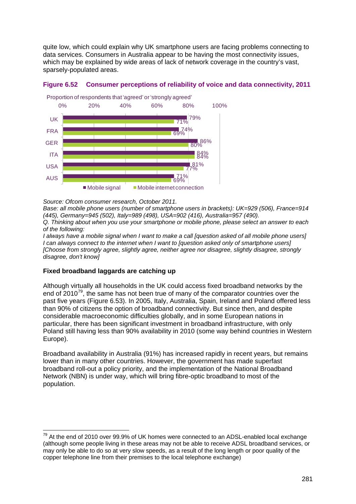quite low, which could explain why UK smartphone users are facing problems connecting to data services. Consumers in Australia appear to be having the most connectivity issues, which may be explained by wide areas of lack of network coverage in the country's vast, sparsely-populated areas.



### <span id="page-64-0"></span>**Figure 6.52 Consumer perceptions of reliability of voice and data connectivity, 2011**

*Source: Ofcom consumer research, October 2011.*

*Base: all mobile phone users (number of smartphone users in brackets): UK=929 (506), France=914 (445), Germany=945 (502), Italy=989 (498), USA=902 (416), Australia=957 (490).*

*Q. Thinking about when you use your smartphone or mobile phone, please select an answer to each of the following:*

*I always have a mobile signal when I want to make a call [question asked of all mobile phone users] I can always connect to the internet when I want to [question asked only of smartphone users] [Choose from strongly agree, slightly agree, neither agree nor disagree, slightly disagree, strongly disagree, don't know]*

## **Fixed broadband laggards are catching up**

Although virtually all households in the UK could access fixed broadband networks by the end of  $2010^{79}$  $2010^{79}$  $2010^{79}$ , the same has not been true of many of the comparator countries over the past five years ([Figure 6.53](#page-65-0)). In 2005, Italy, Australia, Spain, Ireland and Poland offered less than 90% of citizens the option of broadband connectivity. But since then, and despite considerable macroeconomic difficulties globally, and in some European nations in particular, there has been significant investment in broadband infrastructure, with only Poland still having less than 90% availability in 2010 (some way behind countries in Western Europe).

Broadband availability in Australia (91%) has increased rapidly in recent years, but remains lower than in many other countries. However, the government has made superfast broadband roll-out a policy priority, and the implementation of the National Broadband Network (NBN) is under way, which will bring fibre-optic broadband to most of the population.

<span id="page-64-1"></span> $79$  At the end of 2010 over 99.9% of UK homes were connected to an ADSL-enabled local exchange (although some people living in these areas may not be able to receive ADSL broadband services, or may only be able to do so at very slow speeds, as a result of the long length or poor quality of the copper telephone line from their premises to the local telephone exchange)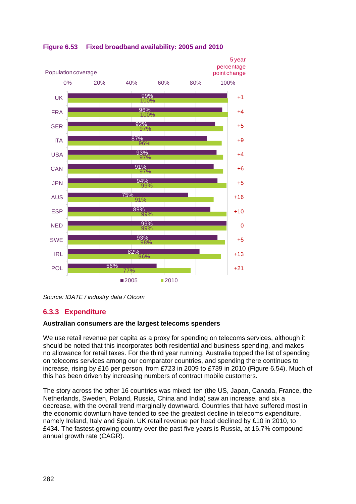

<span id="page-65-0"></span>**Figure 6.53 Fixed broadband availability: 2005 and 2010**

*Source: IDATE / industry data / Ofcom*

# **6.3.3 Expenditure**

## **Australian consumers are the largest telecoms spenders**

We use retail revenue per capita as a proxy for spending on telecoms services, although it should be noted that this incorporates both residential and business spending, and makes no allowance for retail taxes. For the third year running, Australia topped the list of spending on telecoms services among our comparator countries, and spending there continues to increase, rising by £16 per person, from £723 in 2009 to £739 in 2010 [\(Figure 6.54\)](#page-66-0). Much of this has been driven by increasing numbers of contract mobile customers.

The story across the other 16 countries was mixed: ten (the US, Japan, Canada, France, the Netherlands, Sweden, Poland, Russia, China and India) saw an increase, and six a decrease, with the overall trend marginally downward. Countries that have suffered most in the economic downturn have tended to see the greatest decline in telecoms expenditure, namely Ireland, Italy and Spain. UK retail revenue per head declined by £10 in 2010, to £434. The fastest-growing country over the past five years is Russia, at 16.7% compound annual growth rate (CAGR).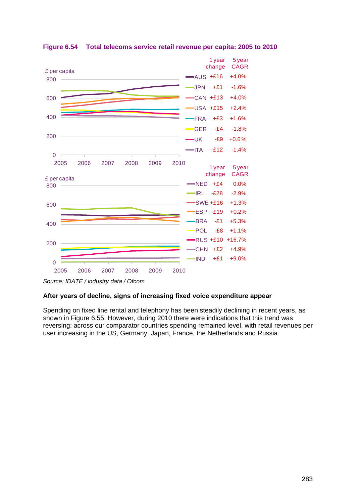

<span id="page-66-0"></span>**Figure 6.54 Total telecoms service retail revenue per capita: 2005 to 2010**

### **After years of decline, signs of increasing fixed voice expenditure appear**

Spending on fixed line rental and telephony has been steadily declining in recent years, as shown in [Figure 6.55.](#page-67-0) However, during 2010 there were indications that this trend was reversing: across our comparator countries spending remained level, with retail revenues per user increasing in the US, Germany, Japan, France, the Netherlands and Russia.

*Source: IDATE / industry data / Ofcom*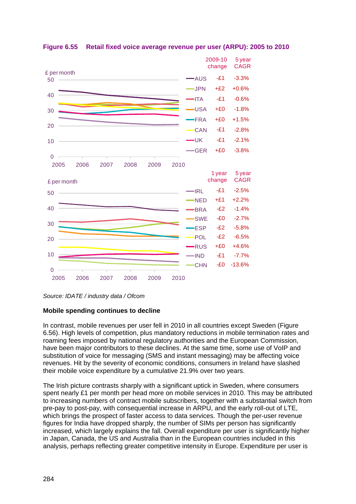

## <span id="page-67-0"></span>**Figure 6.55 Retail fixed voice average revenue per user (ARPU): 2005 to 2010**

*Source: IDATE / industry data / Ofcom*

### **Mobile spending continues to decline**

In contrast, mobile revenues per user fell in 2010 in all countries except Sweden [\(Figure](#page-68-0)  [6.56\)](#page-68-0). High levels of competition, plus mandatory reductions in mobile termination rates and roaming fees imposed by national regulatory authorities and the European Commission, have been major contributors to these declines. At the same time, some use of VoIP and substitution of voice for messaging (SMS and instant messaging) may be affecting voice revenues. Hit by the severity of economic conditions, consumers in Ireland have slashed their mobile voice expenditure by a cumulative 21.9% over two years.

The Irish picture contrasts sharply with a significant uptick in Sweden, where consumers spent nearly £1 per month per head more on mobile services in 2010. This may be attributed to increasing numbers of contract mobile subscribers, together with a substantial switch from pre-pay to post-pay, with consequential increase in ARPU, and the early roll-out of LTE, which brings the prospect of faster access to data services. Though the per-user revenue figures for India have dropped sharply, the number of SIMs per person has significantly increased, which largely explains the fall. Overall expenditure per user is significantly higher in Japan, Canada, the US and Australia than in the European countries included in this analysis, perhaps reflecting greater competitive intensity in Europe. Expenditure per user is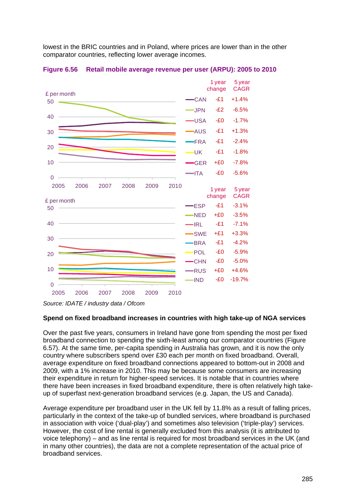lowest in the BRIC countries and in Poland, where prices are lower than in the other comparator countries, reflecting lower average incomes.



<span id="page-68-0"></span>**Figure 6.56 Retail mobile average revenue per user (ARPU): 2005 to 2010**

*Source: IDATE / industry data / Ofcom*

#### **Spend on fixed broadband increases in countries with high take-up of NGA services**

Over the past five years, consumers in Ireland have gone from spending the most per fixed broadband connection to spending the sixth-least among our comparator countries [\(Figure](#page-69-0)  [6.57\)](#page-69-0). At the same time, per-capita spending in Australia has grown, and it is now the only country where subscribers spend over £30 each per month on fixed broadband. Overall, average expenditure on fixed broadband connections appeared to bottom-out in 2008 and 2009, with a 1% increase in 2010. This may be because some consumers are increasing their expenditure in return for higher-speed services. It is notable that in countries where there have been increases in fixed broadband expenditure, there is often relatively high takeup of superfast next-generation broadband services (e.g. Japan, the US and Canada).

Average expenditure per broadband user in the UK fell by 11.8% as a result of falling prices, particularly in the context of the take-up of bundled services, where broadband is purchased in association with voice ('dual-play') and sometimes also television ('triple-play') services. However, the cost of line rental is generally excluded from this analysis (it is attributed to voice telephony) – and as line rental is required for most broadband services in the UK (and in many other countries), the data are not a complete representation of the actual price of broadband services.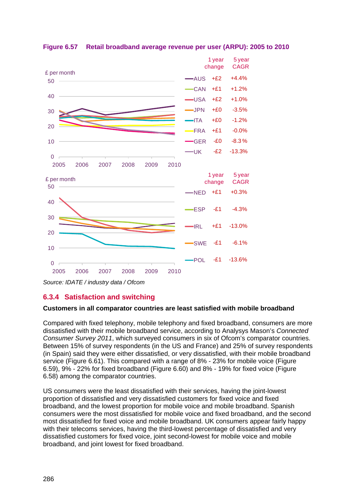

<span id="page-69-0"></span>

*Source: IDATE / industry data / Ofcom*

## **6.3.4 Satisfaction and switching**

### **Customers in all comparator countries are least satisfied with mobile broadband**

Compared with fixed telephony, mobile telephony and fixed broadband, consumers are more dissatisfied with their mobile broadband service, according to Analysys Mason's *Connected Consumer Survey 2011*, which surveyed consumers in six of Ofcom's comparator countries. Between 15% of survey respondents (in the US and France) and 25% of survey respondents (in Spain) said they were either dissatisfied, or very dissatisfied, with their mobile broadband service [\(Figure 6.61\)](#page-71-0). This compared with a range of 8% - 23% for mobile voice [\(Figure](#page-70-0)  [6.59\)](#page-70-0), 9% - 22% for fixed broadband [\(Figure 6.60\)](#page-71-1) and 8% - 19% for fixed voice [\(Figure](#page-70-1)  [6.58\)](#page-70-1) among the comparator countries.

US consumers were the least dissatisfied with their services, having the joint-lowest proportion of dissatisfied and very dissatisfied customers for fixed voice and fixed broadband, and the lowest proportion for mobile voice and mobile broadband. Spanish consumers were the most dissatisfied for mobile voice and fixed broadband, and the second most dissatisfied for fixed voice and mobile broadband. UK consumers appear fairly happy with their telecoms services, having the third-lowest percentage of dissatisfied and very dissatisfied customers for fixed voice, joint second-lowest for mobile voice and mobile broadband, and joint lowest for fixed broadband.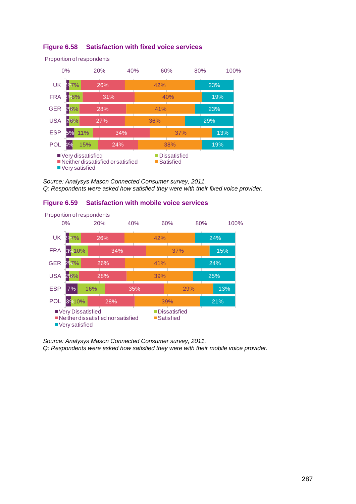

## <span id="page-70-1"></span>**Figure 6.58 Satisfaction with fixed voice services**

*Source: Analysys Mason Connected Consumer survey, 2011. Q: Respondents were asked how satisfied they were with their fixed voice provider.*

## <span id="page-70-0"></span>**Figure 6.59 Satisfaction with mobile voice services**



*Source: Analysys Mason Connected Consumer survey, 2011.*

*Q: Respondents were asked how satisfied they were with their mobile voice provider.*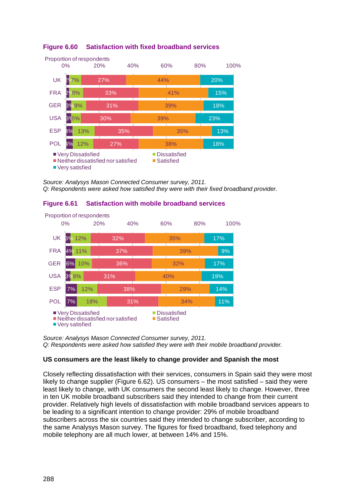

# <span id="page-71-1"></span>**Figure 6.60 Satisfaction with fixed broadband services**

*Source: Analysys Mason Connected Consumer survey, 2011. Q: Respondents were asked how satisfied they were with their fixed broadband provider.*

## <span id="page-71-0"></span>**Figure 6.61 Satisfaction with mobile broadband services**



*Source: Analysys Mason Connected Consumer survey, 2011. Q: Respondents were asked how satisfied they were with their mobile broadband provider.* 

## **US consumers are the least likely to change provider and Spanish the most**

Closely reflecting dissatisfaction with their services, consumers in Spain said they were most likely to change supplier [\(Figure 6.62\)](#page-72-0). US consumers – the most satisfied – said they were least likely to change, with UK consumers the second least likely to change. However, three in ten UK mobile broadband subscribers said they intended to change from their current provider. Relatively high levels of dissatisfaction with mobile broadband services appears to be leading to a significant intention to change provider: 29% of mobile broadband subscribers across the six countries said they intended to change subscriber, according to the same Analysys Mason survey. The figures for fixed broadband, fixed telephony and mobile telephony are all much lower, at between 14% and 15%.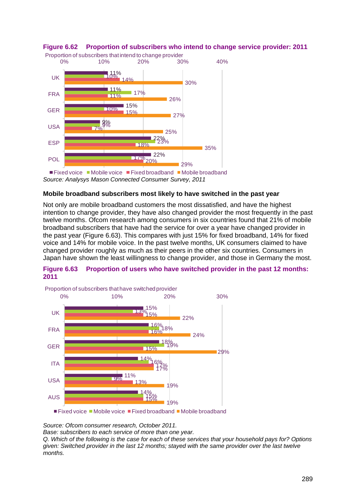

# **Figure 6.62 Proportion of subscribers who intend to change service provider: 2011**

### **Mobile broadband subscribers most likely to have switched in the past year**

Not only are mobile broadband customers the most dissatisfied, and have the highest intention to change provider, they have also changed provider the most frequently in the past twelve months. Ofcom research among consumers in six countries found that 21% of mobile broadband subscribers that have had the service for over a year have changed provider in the past year [\(Figure 6.63\)](#page-72-0). This compares with just 15% for fixed broadband, 14% for fixed voice and 14% for mobile voice. In the past twelve months, UK consumers claimed to have changed provider roughly as much as their peers in the other six countries. Consumers in Japan have shown the least willingness to change provider, and those in Germany the most.

#### <span id="page-72-0"></span>**Figure 6.63 Proportion of users who have switched provider in the past 12 months: 2011**



 $\blacksquare$  Fixed voice  $\blacksquare$  Mobile voice  $\blacksquare$  Fixed broadband  $\blacksquare$  Mobile broadband

*Source: Ofcom consumer research, October 2011.* 

*Base: subscribers to each service of more than one year.* 

*Q. Which of the following is the case for each of these services that your household pays for? Options given: Switched provider in the last 12 months; stayed with the same provider over the last twelve months.*

*Source: Analysys Mason Connected Consumer Survey, 2011*  $\blacksquare$  Fixed voice  $\blacksquare$  Mobile voice  $\blacksquare$  Fixed broadband  $\blacksquare$  Mobile broadband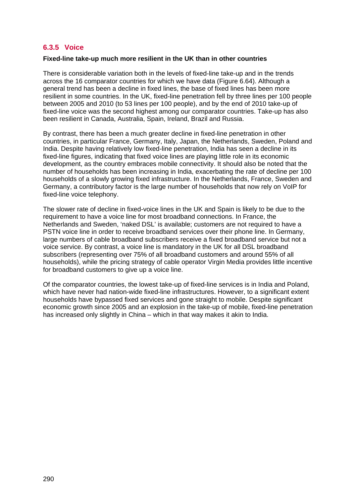# **6.3.5 Voice**

#### **Fixed-line take-up much more resilient in the UK than in other countries**

There is considerable variation both in the levels of fixed-line take-up and in the trends across the 16 comparator countries for which we have data [\(Figure 6.64\)](#page-74-0). Although a general trend has been a decline in fixed lines, the base of fixed lines has been more resilient in some countries. In the UK, fixed-line penetration fell by three lines per 100 people between 2005 and 2010 (to 53 lines per 100 people), and by the end of 2010 take-up of fixed-line voice was the second highest among our comparator countries. Take-up has also been resilient in Canada, Australia, Spain, Ireland, Brazil and Russia.

By contrast, there has been a much greater decline in fixed-line penetration in other countries, in particular France, Germany, Italy, Japan, the Netherlands, Sweden, Poland and India. Despite having relatively low fixed-line penetration, India has seen a decline in its fixed-line figures, indicating that fixed voice lines are playing little role in its economic development, as the country embraces mobile connectivity. It should also be noted that the number of households has been increasing in India, exacerbating the rate of decline per 100 households of a slowly growing fixed infrastructure. In the Netherlands, France, Sweden and Germany, a contributory factor is the large number of households that now rely on VoIP for fixed-line voice telephony.

The slower rate of decline in fixed-voice lines in the UK and Spain is likely to be due to the requirement to have a voice line for most broadband connections. In France, the Netherlands and Sweden, 'naked DSL' is available; customers are not required to have a PSTN voice line in order to receive broadband services over their phone line. In Germany, large numbers of cable broadband subscribers receive a fixed broadband service but not a voice service. By contrast, a voice line is mandatory in the UK for all DSL broadband subscribers (representing over 75% of all broadband customers and around 55% of all households), while the pricing strategy of cable operator Virgin Media provides little incentive for broadband customers to give up a voice line.

Of the comparator countries, the lowest take-up of fixed-line services is in India and Poland, which have never had nation-wide fixed-line infrastructures. However, to a significant extent households have bypassed fixed services and gone straight to mobile. Despite significant economic growth since 2005 and an explosion in the take-up of mobile, fixed-line penetration has increased only slightly in China – which in that way makes it akin to India.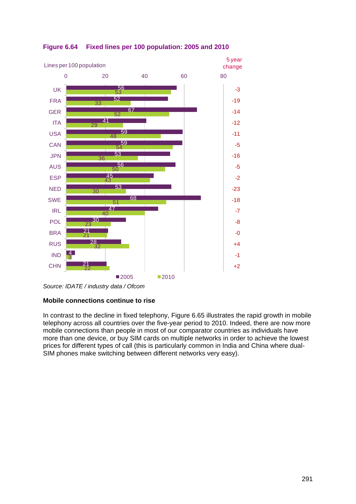

# <span id="page-74-0"></span>**Figure 6.64 Fixed lines per 100 population: 2005 and 2010**

# **Mobile connections continue to rise**

In contrast to the decline in fixed telephony, [Figure 6.65](#page-75-0) illustrates the rapid growth in mobile telephony across all countries over the five-year period to 2010. Indeed, there are now more mobile connections than people in most of our comparator countries as individuals have more than one device, or buy SIM cards on multiple networks in order to achieve the lowest prices for different types of call (this is particularly common in India and China where dual-SIM phones make switching between different networks very easy).

*Source: IDATE / industry data / Ofcom*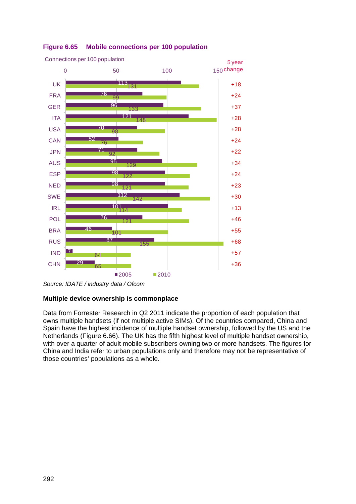

# <span id="page-75-0"></span>**Figure 6.65 Mobile connections per 100 population**

#### **Multiple device ownership is commonplace**

Data from Forrester Research in Q2 2011 indicate the proportion of each population that owns multiple handsets (if not multiple active SIMs). Of the countries compared, China and Spain have the highest incidence of multiple handset ownership, followed by the US and the Netherlands [\(Figure 6.66\)](#page-76-0). The UK has the fifth highest level of multiple handset ownership, with over a quarter of adult mobile subscribers owning two or more handsets. The figures for China and India refer to urban populations only and therefore may not be representative of those countries' populations as a whole.

*Source: IDATE / industry data / Ofcom*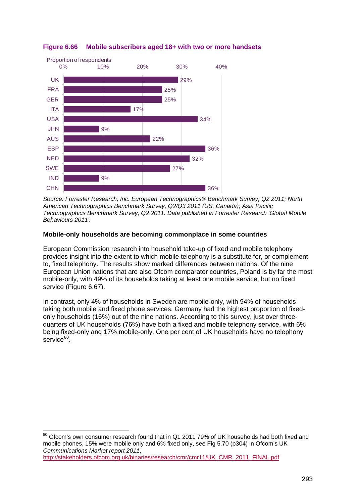

# <span id="page-76-0"></span>**Figure 6.66 Mobile subscribers aged 18+ with two or more handsets**

*Source: Forrester Research, Inc. European Technographics® Benchmark Survey, Q2 2011; North American Technographics Benchmark Survey, Q2/Q3 2011 (US, Canada); Asia Pacific Technographics Benchmark Survey, Q2 2011. Data published in Forrester Research 'Global Mobile Behaviours 2011'.*

#### **Mobile-only households are becoming commonplace in some countries**

European Commission research into household take-up of fixed and mobile telephony provides insight into the extent to which mobile telephony is a substitute for, or complement to, fixed telephony. The results show marked differences between nations. Of the nine European Union nations that are also Ofcom comparator countries, Poland is by far the most mobile-only, with 49% of its households taking at least one mobile service, but no fixed service [\(Figure 6.67\)](#page-77-0).

In contrast, only 4% of households in Sweden are mobile-only, with 94% of households taking both mobile and fixed phone services. Germany had the highest proportion of fixedonly households (16%) out of the nine nations. According to this survey, just over threequarters of UK households (76%) have both a fixed and mobile telephony service, with 6% being fixed-only and 17% mobile-only. One per cent of UK households have no telephony service<sup>[80](#page-76-1)</sup>.

<span id="page-76-1"></span>80 Ofcom's own consumer research found that in Q1 2011 79% of UK households had both fixed and mobile phones, 15% were mobile only and 6% fixed only, see Fig 5.70 (p304) in Ofcom's UK *Communications Market report 2011*, [http://stakeholders.ofcom.org.uk/binaries/research/cmr/cmr11/UK\\_CMR\\_2011\\_FINAL.pdf](http://stakeholders.ofcom.org.uk/binaries/research/cmr/cmr11/UK_CMR_2011_FINAL.pdf)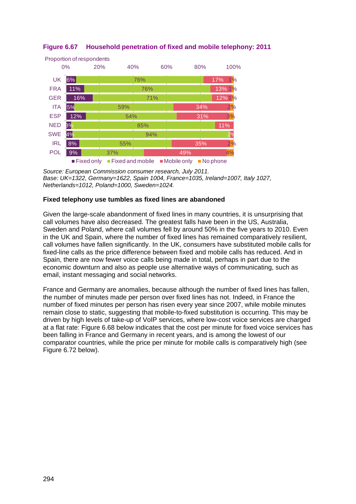

# <span id="page-77-0"></span>**Figure 6.67 Household penetration of fixed and mobile telephony: 2011**

*Source: European Commission consumer research, July 2011. Base: UK=1322, Germany=1622, Spain 1004, France=1035, Ireland=1007, Italy 1027, Netherlands=1012, Poland=1000, Sweden=1024.*

### **Fixed telephony use tumbles as fixed lines are abandoned**

Given the large-scale abandonment of fixed lines in many countries, it is unsurprising that call volumes have also decreased. The greatest falls have been in the US, Australia, Sweden and Poland, where call volumes fell by around 50% in the five years to 2010. Even in the UK and Spain, where the number of fixed lines has remained comparatively resilient, call volumes have fallen significantly. In the UK, consumers have substituted mobile calls for fixed-line calls as the price difference between fixed and mobile calls has reduced. And in Spain, there are now fewer voice calls being made in total, perhaps in part due to the economic downturn and also as people use alternative ways of communicating, such as email, instant messaging and social networks.

France and Germany are anomalies, because although the number of fixed lines has fallen, the number of minutes made per person over fixed lines has not. Indeed, in France the number of fixed minutes per person has risen every year since 2007, while mobile minutes remain close to static, suggesting that mobile-to-fixed substitution is occurring. This may be driven by high levels of take-up of VoIP services, where low-cost voice services are charged at a flat rate: [Figure 6.68](#page-78-0) below indicates that the cost per minute for fixed voice services has been falling in France and Germany in recent years, and is among the lowest of our comparator countries, while the price per minute for mobile calls is comparatively high (see [Figure 6.72](#page-82-0) below).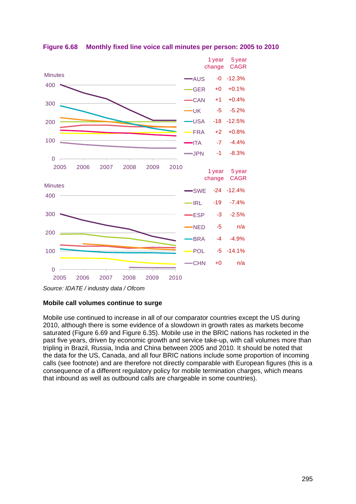

<span id="page-78-0"></span>**Figure 6.68 Monthly fixed line voice call minutes per person: 2005 to 2010**

#### **Mobile call volumes continue to surge**

Mobile use continued to increase in all of our comparator countries except the US during 2010, although there is some evidence of a slowdown in growth rates as markets become saturated [\(Figure 6.69](#page-79-0) and [Figure 6.35\)](#page-44-0). Mobile use in the BRIC nations has rocketed in the past five years, driven by economic growth and service take-up, with call volumes more than tripling in Brazil, Russia, India and China between 2005 and 2010. It should be noted that the data for the US, Canada, and all four BRIC nations include some proportion of incoming calls (see footnote) and are therefore not directly comparable with European figures (this is a consequence of a different regulatory policy for mobile termination charges, which means that inbound as well as outbound calls are chargeable in some countries).

*Source: IDATE / industry data / Ofcom*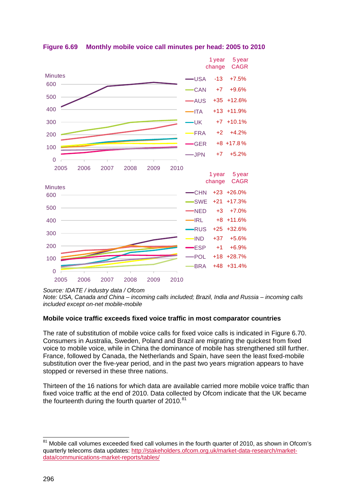

<span id="page-79-0"></span>**Figure 6.69 Monthly mobile voice call minutes per head: 2005 to 2010**

*Source: IDATE / industry data / Ofcom*

*Note: USA, Canada and China – incoming calls included; Brazil, India and Russia – incoming calls included except on-net mobile-mobile* 

#### **Mobile voice traffic exceeds fixed voice traffic in most comparator countries**

The rate of substitution of mobile voice calls for fixed voice calls is indicated in [Figure 6.70.](#page-80-0) Consumers in Australia, Sweden, Poland and Brazil are migrating the quickest from fixed voice to mobile voice, while in China the dominance of mobile has strengthened still further. France, followed by Canada, the Netherlands and Spain, have seen the least fixed-mobile substitution over the five-year period, and in the past two years migration appears to have stopped or reversed in these three nations.

Thirteen of the 16 nations for which data are available carried more mobile voice traffic than fixed voice traffic at the end of 2010. Data collected by Ofcom indicate that the UK became the fourteenth during the fourth quarter of  $2010$ .<sup>[81](#page-79-1)</sup>

<span id="page-79-1"></span> $81$  Mobile call volumes exceeded fixed call volumes in the fourth quarter of 2010, as shown in Ofcom's quarterly telecoms data updates: [http://stakeholders.ofcom.org.uk/market-data-research/market](http://stakeholders.ofcom.org.uk/market-data-research/market-data/communications-market-reports/tables/)[data/communications-market-reports/tables/](http://stakeholders.ofcom.org.uk/market-data-research/market-data/communications-market-reports/tables/)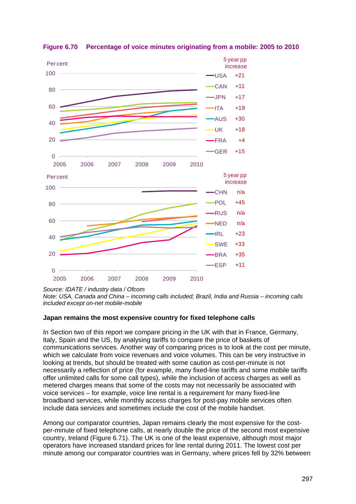

<span id="page-80-0"></span>**Figure 6.70 Percentage of voice minutes originating from a mobile: 2005 to 2010**

*Source: IDATE / industry data / Ofcom*

*Note: USA, Canada and China – incoming calls included; Brazil, India and Russia – incoming calls included except on-net mobile-mobile*

#### **Japan remains the most expensive country for fixed telephone calls**

In Section two of this report we compare pricing in the UK with that in France, Germany, Italy, Spain and the US, by analysing tariffs to compare the price of baskets of communications services. Another way of comparing prices is to look at the cost per minute, which we calculate from voice revenues and voice volumes. This can be very instructive in looking at trends, but should be treated with some caution as cost-per-minute is not necessarily a reflection of price (for example, many fixed-line tariffs and some mobile tariffs offer unlimited calls for some call types), while the inclusion of access charges as well as metered charges means that some of the costs may not necessarily be associated with voice services – for example, voice line rental is a requirement for many fixed-line broadband services, while monthly access charges for post-pay mobile services often include data services and sometimes include the cost of the mobile handset.

Among our comparator countries, Japan remains clearly the most expensive for the costper-minute of fixed telephone calls, at nearly double the price of the second most expensive country, Ireland [\(Figure 6.71\)](#page-81-0). The UK is one of the least expensive, although most major operators have increased standard prices for line rental during 2011. The lowest cost per minute among our comparator countries was in Germany, where prices fell by 32% between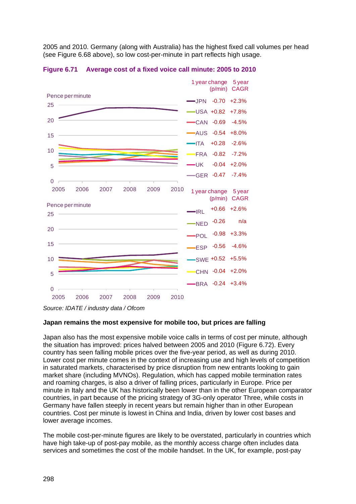2005 and 2010. Germany (along with Australia) has the highest fixed call volumes per head (see [Figure 6.68](#page-78-0) above), so low cost-per-minute in part reflects high usage.



<span id="page-81-0"></span>**Figure 6.71 Average cost of a fixed voice call minute: 2005 to 2010**

#### **Japan remains the most expensive for mobile too, but prices are falling**

Japan also has the most expensive mobile voice calls in terms of cost per minute, although the situation has improved: prices halved between 2005 and 2010 [\(Figure 6.72\)](#page-82-0). Every country has seen falling mobile prices over the five-year period, as well as during 2010. Lower cost per minute comes in the context of increasing use and high levels of competition in saturated markets, characterised by price disruption from new entrants looking to gain market share (including MVNOs). Regulation, which has capped mobile termination rates and roaming charges, is also a driver of falling prices, particularly in Europe. Price per minute in Italy and the UK has historically been lower than in the other European comparator countries, in part because of the pricing strategy of 3G-only operator Three, while costs in Germany have fallen steeply in recent years but remain higher than in other European countries. Cost per minute is lowest in China and India, driven by lower cost bases and lower average incomes.

The mobile cost-per-minute figures are likely to be overstated, particularly in countries which have high take-up of post-pay mobile, as the monthly access charge often includes data services and sometimes the cost of the mobile handset. In the UK, for example, post-pay

*Source: IDATE / industry data / Ofcom*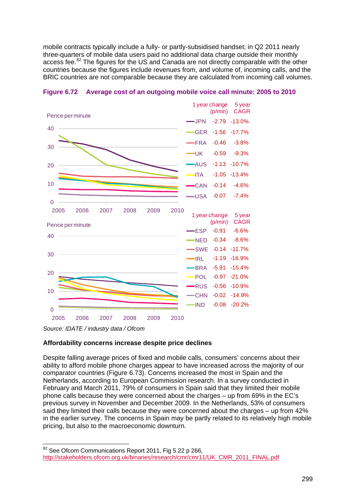mobile contracts typically include a fully- or partly-subsidised handset; in Q2 2011 nearly three-quarters of mobile data users paid no additional data charge outside their monthly access fee.<sup>[82](#page-82-1)</sup> The figures for the US and Canada are not directly comparable with the other countries because the figures include revenues from, and volume of, incoming calls, and the BRIC countries are not comparable because they are calculated from incoming call volumes.



<span id="page-82-0"></span>

*Source: IDATE / industry data / Ofcom*

#### **Affordability concerns increase despite price declines**

Despite falling average prices of fixed and mobile calls, consumers' concerns about their ability to afford mobile phone charges appear to have increased across the majority of our comparator countries [\(Figure 6.73\)](#page-83-0). Concerns increased the most in Spain and the Netherlands, according to European Commission research. In a survey conducted in February and March 2011, 79% of consumers in Spain said that they limited their mobile phone calls because they were concerned about the charges – up from 69% in the EC's previous survey in November and December 2009. In the Netherlands, 53% of consumers said they limited their calls because they were concerned about the charges – up from 42% in the earlier survey. The concerns in Spain may be partly related to its relatively high mobile pricing, but also to the macroeconomic downturn.

<span id="page-82-1"></span><sup>82</sup> See Ofcom Communications Report 2011, Fig 5.22 p 266, [http://stakeholders.ofcom.org.uk/binaries/research/cmr/cmr11/UK\\_CMR\\_2011\\_FINAL.pdf](http://stakeholders.ofcom.org.uk/binaries/research/cmr/cmr11/UK_CMR_2011_FINAL.pdf)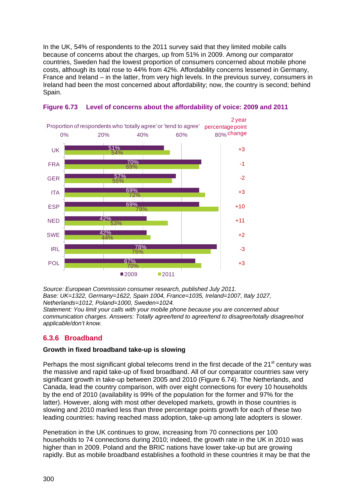In the UK, 54% of respondents to the 2011 survey said that they limited mobile calls because of concerns about the charges, up from 51% in 2009. Among our comparator countries, Sweden had the lowest proportion of consumers concerned about mobile phone costs, although its total rose to 44% from 42%. Affordability concerns lessened in Germany, France and Ireland – in the latter, from very high levels. In the previous survey, consumers in Ireland had been the most concerned about affordability; now, the country is second; behind Spain.



<span id="page-83-0"></span>**Figure 6.73 Level of concerns about the affordability of voice: 2009 and 2011**

*Source: European Commission consumer research, published July 2011. Base: UK=1322, Germany=1622, Spain 1004, France=1035, Ireland=1007, Italy 1027, Netherlands=1012, Poland=1000, Sweden=1024. Statement: You limit your calls with your mobile phone because you are concerned about communication charges. Answers: Totally agree/tend to agree/tend to disagree/totally disagree/not applicable/don't know.*

# **6.3.6 Broadband**

#### **Growth in fixed broadband take-up is slowing**

Perhaps the most significant global telecoms trend in the first decade of the 21<sup>st</sup> century was significant growth in take-up between 2005 and 2010 ([Figure 6.74](#page-84-0)). The Netherlands, and the massive and rapid take-up of fixed broadband. All of our comparator countries saw very Canada, lead the country comparison, with over eight connections for every 10 households by the end of 2010 (availability is 99% of the population for the former and 97% for the latter). However, along with most other developed markets, growth in those countries is slowing and 2010 marked less than three percentage points growth for each of these two leading countries: having reached mass adoption, take-up among late adopters is slower.

Penetration in the UK continues to grow, increasing from 70 connections per 100 households to 74 connections during 2010; indeed, the growth rate in the UK in 2010 was higher than in 2009. Poland and the BRIC nations have lower take-up but are growing rapidly. But as mobile broadband establishes a foothold in these countries it may be that the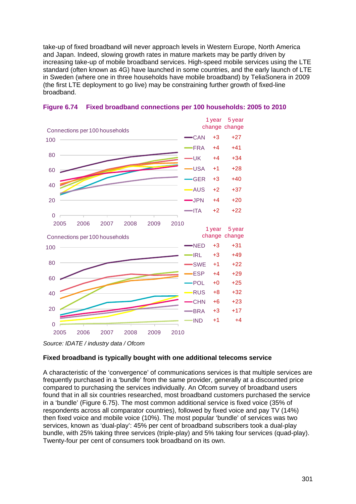take-up of fixed broadband will never approach levels in Western Europe, North America and Japan. Indeed, slowing growth rates in mature markets may be partly driven by increasing take-up of mobile broadband services. High-speed mobile services using the LTE standard (often known as 4G) have launched in some countries, and the early launch of LTE in Sweden (where one in three households have mobile broadband) by TeliaSonera in 2009 (the first LTE deployment to go live) may be constraining further growth of fixed-line broadband.



<span id="page-84-0"></span>

#### **Fixed broadband is typically bought with one additional telecoms service**

A characteristic of the 'convergence' of communications services is that multiple services are frequently purchased in a 'bundle' from the same provider, generally at a discounted price compared to purchasing the services individually. An Ofcom survey of broadband users found that in all six countries researched, most broadband customers purchased the service in a 'bundle' [\(Figure 6.75\)](#page-85-0). The most common additional service is fixed voice (35% of respondents across all comparator countries), followed by fixed voice and pay TV (14%) then fixed voice and mobile voice (10%). The most popular 'bundle' of services was two services, known as 'dual-play': 45% per cent of broadband subscribers took a dual-play bundle, with 25% taking three services (triple-play) and 5% taking four services (quad-play). Twenty-four per cent of consumers took broadband on its own.

*Source: IDATE / industry data / Ofcom*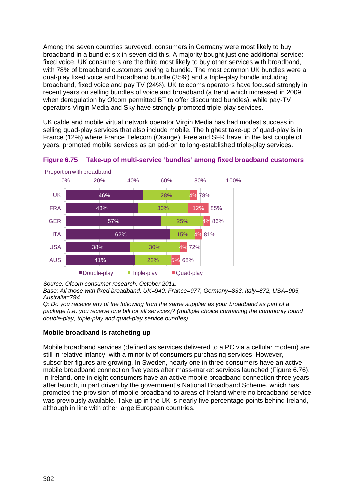Among the seven countries surveyed, consumers in Germany were most likely to buy broadband in a bundle: six in seven did this. A majority bought just one additional service: fixed voice. UK consumers are the third most likely to buy other services with broadband, with 78% of broadband customers buying a bundle. The most common UK bundles were a dual-play fixed voice and broadband bundle (35%) and a triple-play bundle including broadband, fixed voice and pay TV (24%). UK telecoms operators have focused strongly in recent years on selling bundles of voice and broadband (a trend which increased in 2009 when deregulation by Ofcom permitted BT to offer discounted bundles), while pay-TV operators Virgin Media and Sky have strongly promoted triple-play services.

UK cable and mobile virtual network operator Virgin Media has had modest success in selling quad-play services that also include mobile. The highest take-up of quad-play is in France (12%) where France Telecom (Orange), Free and SFR have, in the last couple of years, promoted mobile services as an add-on to long-established triple-play services.



<span id="page-85-0"></span>**Figure 6.75 Take-up of multi-service 'bundles' among fixed broadband customers**

*Source: Ofcom consumer research, October 2011.* 

*Base: All those with fixed broadband, UK=940, France=977, Germany=833, Italy=872, USA=905, Australia=794.*

*Q: Do you receive any of the following from the same supplier as your broadband as part of a package (i.e. you receive one bill for all services)? (multiple choice containing the commonly found double-play, triple-play and quad-play service bundles).*

#### **Mobile broadband is ratcheting up**

Mobile broadband services (defined as services delivered to a PC via a cellular modem) are still in relative infancy, with a minority of consumers purchasing services. However, subscriber figures are growing. In Sweden, nearly one in three consumers have an active mobile broadband connection five years after mass-market services launched [\(Figure 6.76\)](#page-86-0). In Ireland, one in eight consumers have an active mobile broadband connection three years after launch, in part driven by the government's National Broadband Scheme, which has promoted the provision of mobile broadband to areas of Ireland where no broadband service was previously available. Take-up in the UK is nearly five percentage points behind Ireland, although in line with other large European countries.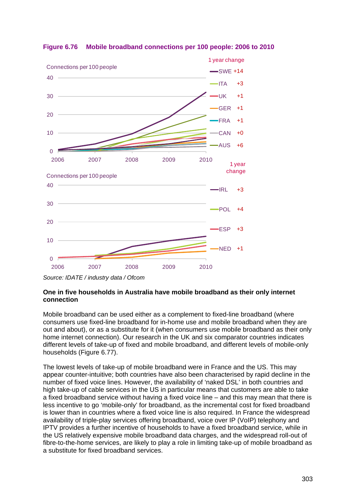

<span id="page-86-0"></span>

#### **One in five households in Australia have mobile broadband as their only internet connection**

Mobile broadband can be used either as a complement to fixed-line broadband (where consumers use fixed-line broadband for in-home use and mobile broadband when they are out and about), or as a substitute for it (when consumers use mobile broadband as their only home internet connection). Our research in the UK and six comparator countries indicates different levels of take-up of fixed and mobile broadband, and different levels of mobile-only households [\(Figure 6.77\)](#page-87-0).

The lowest levels of take-up of mobile broadband were in France and the US. This may appear counter-intuitive; both countries have also been characterised by rapid decline in the number of fixed voice lines. However, the availability of 'naked DSL' in both countries and high take-up of cable services in the US in particular means that customers are able to take a fixed broadband service without having a fixed voice line – and this may mean that there is less incentive to go 'mobile-only' for broadband, as the incremental cost for fixed broadband is lower than in countries where a fixed voice line is also required. In France the widespread availability of triple-play services offering broadband, voice over IP (VoIP) telephony and IPTV provides a further incentive of households to have a fixed broadband service, while in the US relatively expensive mobile broadband data charges, and the widespread roll-out of fibre-to-the-home services, are likely to play a role in limiting take-up of mobile broadband as a substitute for fixed broadband services.

*Source: IDATE / industry data / Ofcom*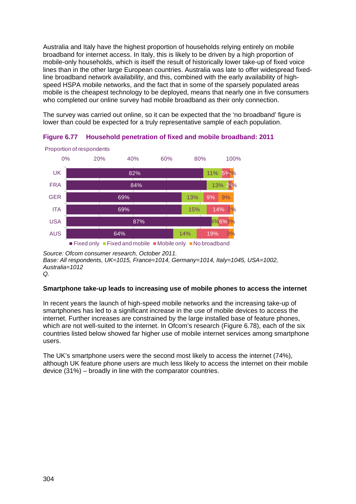Australia and Italy have the highest proportion of households relying entirely on mobile broadband for internet access. In Italy, this is likely to be driven by a high proportion of mobile-only households, which is itself the result of historically lower take-up of fixed voice lines than in the other large European countries. Australia was late to offer widespread fixedline broadband network availability, and this, combined with the early availability of highspeed HSPA mobile networks, and the fact that in some of the sparsely populated areas mobile is the cheapest technology to be deployed, means that nearly one in five consumers who completed our online survey had mobile broadband as their only connection.

The survey was carried out online, so it can be expected that the 'no broadband' figure is lower than could be expected for a truly representative sample of each population.



<span id="page-87-0"></span>**Figure 6.77 Household penetration of fixed and mobile broadband: 2011**

*Source: Ofcom consumer research, October 2011. Base: All respondents, UK=1015, France=1014, Germany=1014, Italy=1045, USA=1002, Australia=1012 Q.*

#### **Smartphone take-up leads to increasing use of mobile phones to access the internet**

In recent years the launch of high-speed mobile networks and the increasing take-up of smartphones has led to a significant increase in the use of mobile devices to access the internet. Further increases are constrained by the large installed base of feature phones, which are not well-suited to the internet. In Ofcom's research [\(Figure 6.78\)](#page-88-0), each of the six countries listed below showed far higher use of mobile internet services among smartphone users.

The UK's smartphone users were the second most likely to access the internet (74%), although UK feature phone users are much less likely to access the internet on their mobile device (31%) – broadly in line with the comparator countries.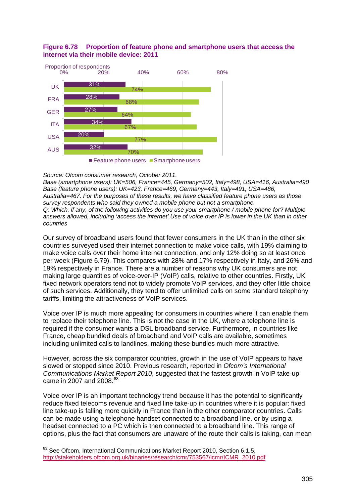

# <span id="page-88-0"></span>**Figure 6.78 Proportion of feature phone and smartphone users that access the internet via their mobile device: 2011**

*Source: Ofcom consumer research, October 2011.*

*Base (smartphone users): UK=506, France=445, Germany=502, Italy=498, USA=416, Australia=490 Base (feature phone users): UK=423, France=469, Germany=443, Italy=491, USA=486, Australia=467. For the purposes of these results, we have classified feature phone users as those survey respondents who said they owned a mobile phone but not a smartphone. Q: Which, if any, of the following activities do you use your smartphone / mobile phone for? Multiple answers allowed, including 'access the internet'.Use of voice over IP is lower in the UK than in other countries*

Our survey of broadband users found that fewer consumers in the UK than in the other six countries surveyed used their internet connection to make voice calls, with 19% claiming to make voice calls over their home internet connection, and only 12% doing so at least once per week [\(Figure 6.79\)](#page-89-0). This compares with 28% and 17% respectively in Italy, and 26% and 19% respectively in France. There are a number of reasons why UK consumers are not making large quantities of voice-over-IP (VoIP) calls, relative to other countries. Firstly, UK fixed network operators tend not to widely promote VoIP services, and they offer little choice of such services. Additionally, they tend to offer unlimited calls on some standard telephony tariffs, limiting the attractiveness of VoIP services.

Voice over IP is much more appealing for consumers in countries where it can enable them to replace their telephone line. This is not the case in the UK, where a telephone line is required if the consumer wants a DSL broadband service. Furthermore, in countries like France, cheap bundled deals of broadband and VoIP calls are available, sometimes including unlimited calls to landlines, making these bundles much more attractive.

However, across the six comparator countries, growth in the use of VoIP appears to have slowed or stopped since 2010. Previous research, reported in *Ofcom's International Communications Market Report 2010*, suggested that the fastest growth in VoIP take-up came in 2007 and 2008.<sup>[83](#page-88-1)</sup>

Voice over IP is an important technology trend because it has the potential to significantly reduce fixed telecoms revenue and fixed line take-up in countries where it is popular: fixed line take-up is falling more quickly in France than in the other comparator countries. Calls can be made using a telephone handset connected to a broadband line, or by using a headset connected to a PC which is then connected to a broadband line. This range of options, plus the fact that consumers are unaware of the route their calls is taking, can mean

<span id="page-88-1"></span><sup>83</sup> See Ofcom, International Communications Market Report 2010, Section 6.1.5, [http://stakeholders.ofcom.org.uk/binaries/research/cmr/753567/icmr/ICMR\\_2010.pdf](http://stakeholders.ofcom.org.uk/binaries/research/cmr/753567/icmr/ICMR_2010.pdf)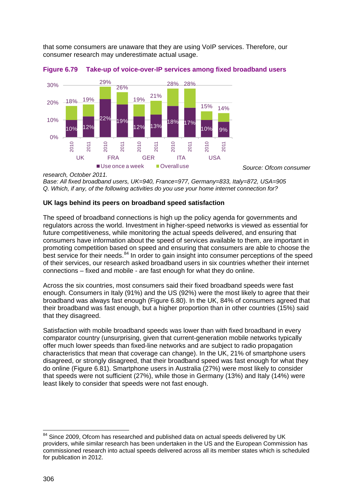that some consumers are unaware that they are using VoIP services. Therefore, our consumer research may underestimate actual usage.



<span id="page-89-0"></span>**Figure 6.79 Take-up of voice-over-IP services among fixed broadband users**

*Base: All fixed broadband users, UK=940, France=977, Germany=833, Italy=872, USA=905 Q. Which, if any, of the following activities do you use your home internet connection for?*

### **UK lags behind its peers on broadband speed satisfaction**

The speed of broadband connections is high up the policy agenda for governments and regulators across the world. Investment in higher-speed networks is viewed as essential for future competitiveness, while monitoring the actual speeds delivered, and ensuring that consumers have information about the speed of services available to them, are important in promoting competition based on speed and ensuring that consumers are able to choose the best service for their needs.<sup>[84](#page-89-1)</sup> In order to gain insight into consumer perceptions of the speed of their services, our research asked broadband users in six countries whether their internet connections – fixed and mobile - are fast enough for what they do online.

*Source: Ofcom consumer* 

Across the six countries, most consumers said their fixed broadband speeds were fast enough. Consumers in Italy (91%) and the US (92%) were the most likely to agree that their broadband was always fast enough ( [Figure 6.80\)](#page-90-0). In the UK, 84% of consumers agreed that their broadband was fast enough, but a higher proportion than in other countries (15%) said that they disagreed.

Satisfaction with mobile broadband speeds was lower than with fixed broadband in every comparator country (unsurprising, given that current-generation mobile networks typically offer much lower speeds than fixed-line networks and are subject to radio propagation characteristics that mean that coverage can change). In the UK, 21% of smartphone users disagreed, or strongly disagreed, that their broadband speed was fast enough for what they do online [\(Figure 6.81\)](#page-90-1). Smartphone users in Australia (27%) were most likely to consider that speeds were not sufficient (27%), while those in Germany (13%) and Italy (14%) were least likely to consider that speeds were not fast enough.

*research, October 2011.*

<span id="page-89-1"></span><sup>&</sup>lt;sup>84</sup> Since 2009, Ofcom has researched and published data on actual speeds delivered by UK providers, while similar research has been undertaken in the US and the European Commission has commissioned research into actual speeds delivered across all its member states which is scheduled for publication in 2012.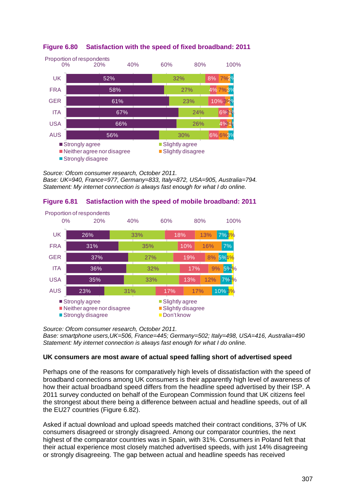

# <span id="page-90-0"></span>**Figure 6.80 Satisfaction with the speed of fixed broadband: 2011**

*Source: Ofcom consumer research, October 2011. Base: UK=940, France=977, Germany=833, Italy=872, USA=905, Australia=794. Statement: My internet connection is always fast enough for what I do online.*

# <span id="page-90-1"></span>**Figure 6.81 Satisfaction with the speed of mobile broadband: 2011**



*Source: Ofcom consumer research, October 2011. Base: smartphone users,UK=506, France=445; Germany=502; Italy=498, USA=416, Australia=490 Statement: My internet connection is always fast enough for what I do online.*

#### **UK consumers are most aware of actual speed falling short of advertised speed**

Perhaps one of the reasons for comparatively high levels of dissatisfaction with the speed of broadband connections among UK consumers is their apparently high level of awareness of how their actual broadband speed differs from the headline speed advertised by their ISP. A 2011 survey conducted on behalf of the European Commission found that UK citizens feel the strongest about there being a difference between actual and headline speeds, out of all the EU27 countries [\(Figure 6.82\)](#page-91-0).

Asked if actual download and upload speeds matched their contract conditions, 37% of UK consumers disagreed or strongly disagreed. Among our comparator countries, the next highest of the comparator countries was in Spain, with 31%. Consumers in Poland felt that their actual experience most closely matched advertised speeds, with just 14% disagreeing or strongly disagreeing. The gap between actual and headline speeds has received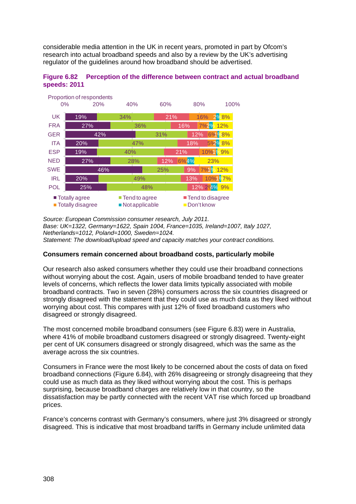considerable media attention in the UK in recent years, promoted in part by Ofcom's research into actual broadband speeds and also by a review by the UK's advertising regulator of the guidelines around how broadband should be advertised.

<span id="page-91-0"></span>



*Source: European Commission consumer research, July 2011. Base: UK=1322, Germany=1622, Spain 1004, France=1035, Ireland=1007, Italy 1027, Netherlands=1012, Poland=1000, Sweden=1024. Statement: The download/upload speed and capacity matches your contract conditions.*

#### **Consumers remain concerned about broadband costs, particularly mobile**

Our research also asked consumers whether they could use their broadband connections without worrying about the cost. Again, users of mobile broadband tended to have greater levels of concerns, which reflects the lower data limits typically associated with mobile broadband contracts. Two in seven (28%) consumers across the six countries disagreed or strongly disagreed with the statement that they could use as much data as they liked without worrying about cost. This compares with just 12% of fixed broadband customers who disagreed or strongly disagreed.

The most concerned mobile broadband consumers (see [Figure 6.83\)](#page-92-0) were in Australia, where 41% of mobile broadband customers disagreed or strongly disagreed. Twenty-eight per cent of UK consumers disagreed or strongly disagreed, which was the same as the average across the six countries.

Consumers in France were the most likely to be concerned about the costs of data on fixed broadband connections [\(Figure 6.84\)](#page-92-1), with 26% disagreeing or strongly disagreeing that they could use as much data as they liked without worrying about the cost. This is perhaps surprising, because broadband charges are relatively low in that country, so the dissatisfaction may be partly connected with the recent VAT rise which forced up broadband prices.

France's concerns contrast with Germany's consumers, where just 3% disagreed or strongly disagreed. This is indicative that most broadband tariffs in Germany include unlimited data